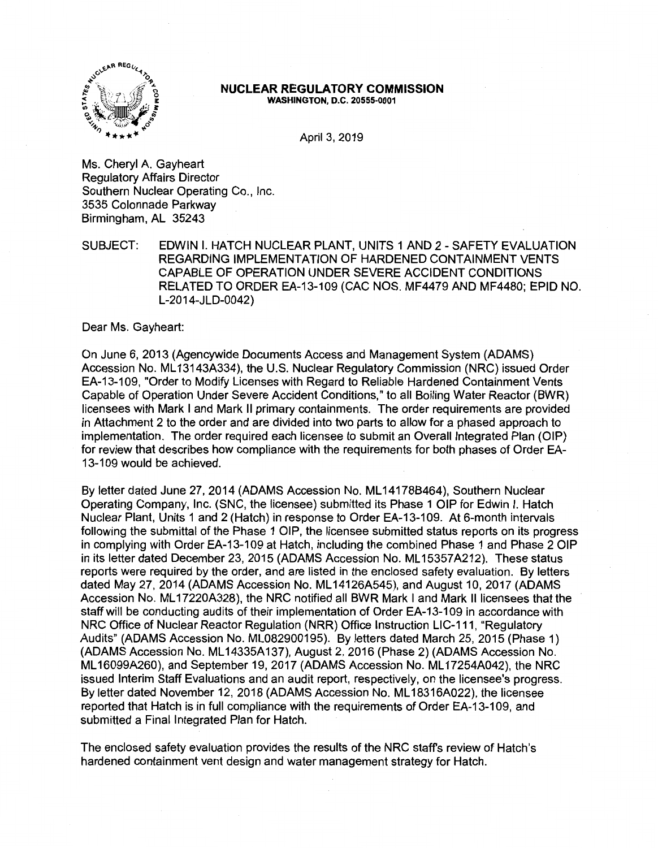

#### **NUCLEAR REGULATORY COMMISSION WASHINGTON, D.C. 20555-0001**

April 3, 2019

Ms. Cheryl A. Gayheart Regulatory Affairs Director Southern Nuclear Operating Co., Inc. 3535 Colonnade Parkway Birmingham, AL 35243

SUBJECT: EDWIN I. HATCH NUCLEAR PLANT, UNITS 1 AND 2 - SAFETY EVALUATION REGARDING IMPLEMENTATION OF HARDENED CONTAINMENT VENTS CAPABLE OF OPERATION UNDER SEVERE ACCIDENT CONDITIONS RELATED TO ORDER EA-13-109 (CAC NOS. MF4479 AND MF4480; EPID NO. L-2014-JLD-0042)

Dear Ms. Gayheart:

On June 6, 2013 (Agencywide Documents Access and Management System (ADAMS) Accession No. ML 13143A334), the U.S. Nuclear Regulatory Commission (NRC) issued Order EA-13-109, "Order to Modify Licenses with Regard to Reliable Hardened Containment Vents Capable of Operation Under Severe Accident Conditions," to all Boiling Water Reactor (BWR) licensees with Mark I and Mark II primary containments. The order requirements are provided in Attachment 2 to the order and are divided into two parts to allow for a phased approach to implementation. The order required each licensee to submit an Overall Integrated Plan (OIP) for review that describes how compliance with the requirements for both phases of Order EA-13-109 would be achieved.

By letter dated June 27, 2014 (ADAMS Accession No. ML 14178B464), Southern Nuclear Operating Company, Inc. (SNC, the licensee) submitted its Phase 1 OIP for Edwin I. Hatch Nuclear Plant, Units 1 and 2 (Hatch) in response to Order EA-13-109. At 6-month intervals following the submittal of the Phase 1 OIP, the licensee submitted status reports on its progress in complying with Order EA-13-109 at Hatch, including the combined Phase 1 and Phase 2 OIP in its letter dated December 23, 2015 (ADAMS Accession No. ML 15357A212). These status reports were required by the order, and are listed in the enclosed safety evaluation. By letters dated May 27, 2014 (ADAMS Accession No. ML 14126A545), and August 10, 2017 (ADAMS Accession No. ML 17220A328), the NRC notified all BWR Mark I and Mark II licensees that the staff will be conducting audits of their implementation of Order EA-13-109 in accordance with NRC Office of Nuclear Reactor Regulation (NRR) Office Instruction LIC-111, "Regulatory Audits" (ADAMS Accession No. ML082900195). By letters dated March 25, 2015 (Phase 1) (ADAMS Accession No. ML 14335A 137), August 2, 2016 (Phase 2) (ADAMS Accession No. ML 16099A260), and September 19, 2017 (ADAMS Accession No. ML 17254A042), the NRC issued Interim Staff Evaluations and an audit report, respectively, on the licensee's progress. By letter dated November 12, 2018 (ADAMS Accession No. ML 18316A022), the licensee reported that Hatch is in full compliance with the requirements of Order EA-13-109, and submitted a Final Integrated Plan for Hatch.

The enclosed safety evaluation provides the results of the NRC staffs review of Hatch's hardened containment vent design and water management strategy for Hatch.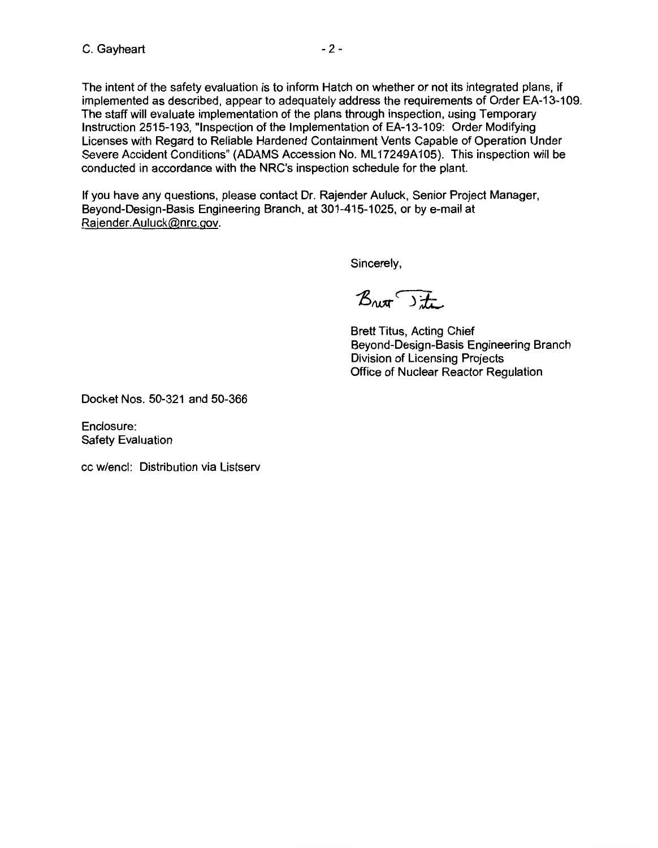The intent of the safety evaluation is to inform Hatch on whether or not its integrated plans, if implemented as described, appear to adequately address the requirements of Order EA-13-109. The staff will evaluate implementation of the plans through inspection, using Temporary Instruction 2515-193, "Inspection of the Implementation of EA-13-109: Order Modifying Licenses with Regard to Reliable Hardened Containment Vents Capable of Operation Under Severe Accident Conditions" (ADAMS Accession No. ML 17249A 105). This inspection will be conducted in accordance with the NRC's inspection schedule for the plant.

If you have any questions, please contact Dr. Rajender Auluck, Senior Project Manager, Beyond-Design-Basis Engineering Branch, at 301-415-1025, or by e-mail at Rajender.Auluck@nrc.gov.

Sincerely,

Bret Site

Brett Titus, Acting Chief Beyond-Design-Basis Engineering Branch Division of Licensing Projects Office of Nuclear Reactor Regulation

Docket Nos. 50-321 and 50-366

Enclosure: Safety Evaluation

cc w/encl: Distribution via Listserv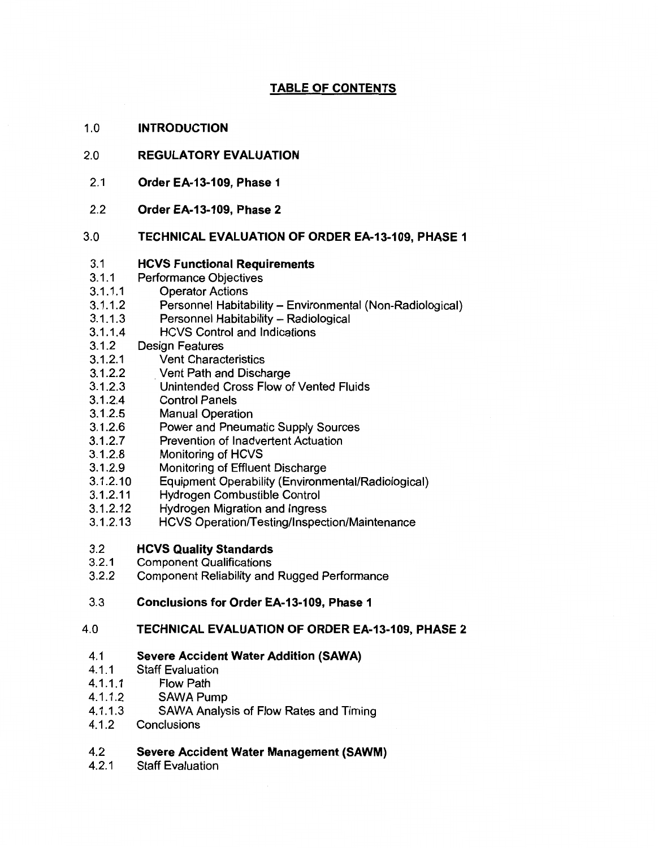# **TABLE OF CONTENTS**

#### 1.0 **INTRODUCTION**

#### 2.0 **REGULATORY EVALUATION**

- 2.1 **Order EA-13-109, Phase 1**
- 2.2 **Order EA-13-109, Phase 2**

#### 3.0 **TECHNICAL EVALUATION OF ORDER EA-13-109, PHASE 1**

#### 3.1 **HCVS Functional Requirements**

- 3.1.1 Performance Objectives
- 3.1.1.1 Operator Actions
- 3.1.1.2 Personnel Habitability - Environmental (Non-Radiological)
- 3.1.1.3 Personnel Habitability - Radiological
- 3.1.1.4 HCVS Control and Indications
- 3.1.2 Design Features
- 3.1.2.1 Vent Characteristics
- 3.1.2.2 . Vent Path and Discharge
- 3.1.2.3 Unintended Cross Flow of Vented Fluids
- 3.1.2.4 Control Panels
- 3.1.2.5 Manual Operation
- 3.1.2.6 Power and Pneumatic Supply Sources
- 3.1.2.7 Prevention of Inadvertent Actuation
- 3.1.2.8 Monitoring of HCVS
- 3.1.2.9 Monitoring of Effluent Discharge
- 3.1.2.10 Equipment Operability (Environmental/Radiological)
- 3.1.2.11 Hydrogen Combustible Control
- 3.1.2.12 Hydrogen Migration and Ingress
- 3.1.2.13 HCVS Operation/Testing/Inspection/Maintenance
- 3.2 **HCVS Quality Standards**
- 3.2.1 Component Qualifications
- 3.2.2 Component Reliability and Rugged Performance
- 3.3 **Conclusions for Order EA-13-109, Phase 1**
- 4.0 **TECHNICAL EVALUATION OF ORDER EA-13-109, PHASE 2**

#### 4.1 **Severe Accident Water Addition (SAWA)**

- 4.1.1 Staff Evaluation
- 4.1.1.1 Flow Path
- 4.1.1.2 SAWA Pump
- 4.1.1.3 SAWA Analysis of Flow Rates and Timing
- 4.1.2 **Conclusions**

#### 4.2 **Severe Accident Water Management (SAWM)**

4.2.1 Staff Evaluation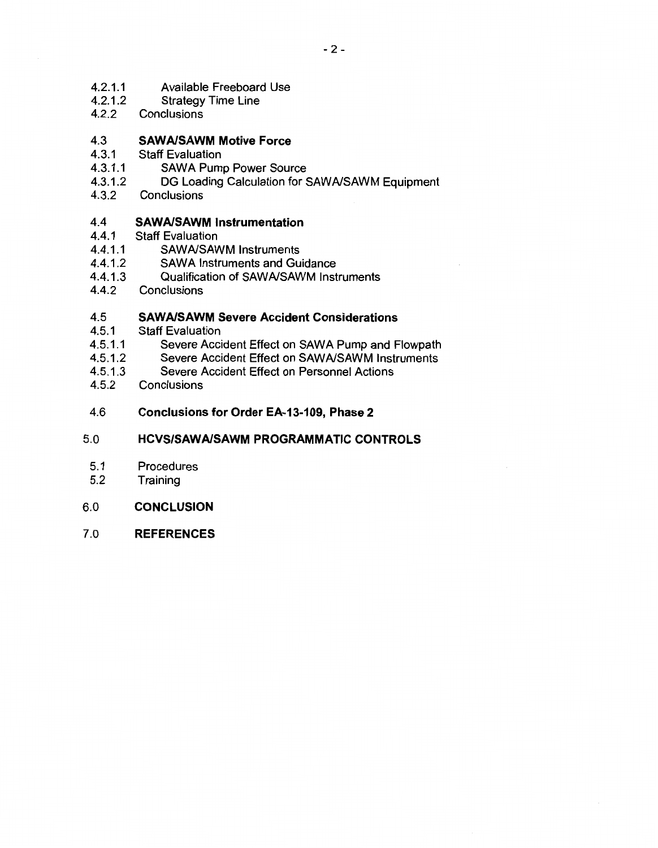- 4.2.1.1 Available Freeboard Use
- 4.2.1.2 Strategy Time Line
- 4.2.2 **Conclusions**

#### 4.3 **SAWA/SAWM Motive Force**

- 4.3.1 Staff Evaluation
- 4.3.1.1 SAWA Pump Power Source
- 4.3.1.2 DG Loading Calculation for SAWA/SAWM Equipment
- 4.3.2 **Conclusions**

#### 4.4 **SAWA/SAWM Instrumentation**

- 4.4.1 Staff Evaluation
- 4.4.1.1 SAWA/SAWM Instruments
- 4.4.1.2 SAWA Instruments and Guidance
- 4.4.1.3 Qualification of SAWA/SAWM Instruments
- 4.4.2 **Conclusions**

#### 4.5 **SAWA/SAWM Severe Accident Considerations**

- 4.5.1 Staff Evaluation
- 4.5.1.1 Severe Accident Effect on SAWA Pump and Flowpath
- 4.5.1.2 Severe Accident Effect on SAWA/SAWM Instruments
- 4.5.1.3 Severe Accident Effect on Personnel Actions
- 4.5.2 **Conclusions**
- 4.6 **Conclusions for Order EA-13-109, Phase 2**

#### 5.0 **HCVS/SAWA/SAWM PROGRAMMATIC CONTROLS**

- 5.1 Procedures
- 5.2 **Training**
- 6.0 **CONCLUSION**
- 7.0 **REFERENCES**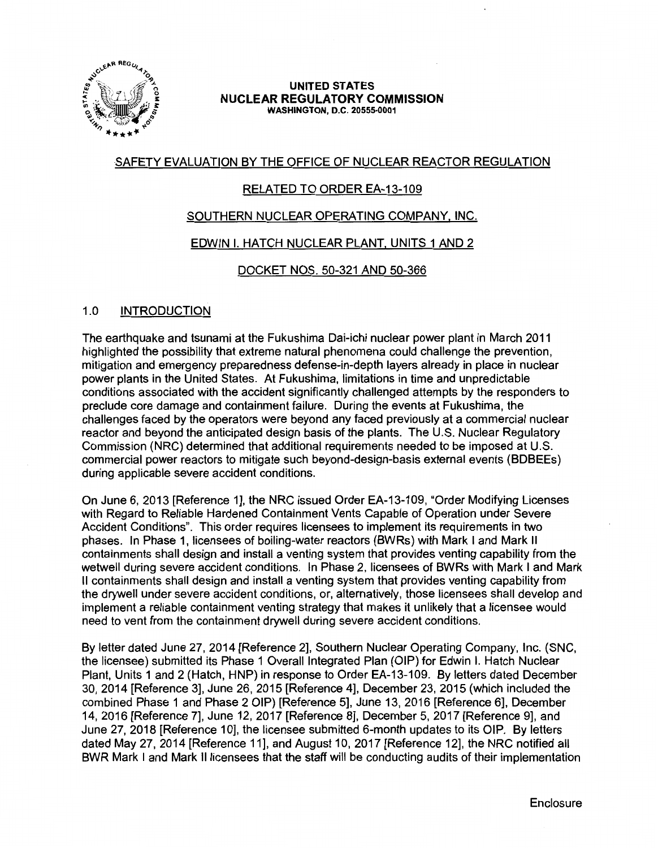

#### **UNITED STATES NUCLEAR REGULATORY COMMISSION WASHINGTON, D.C. 20555-0001**

# SAFETY EVALUATION BY THE OFFICE OF NUCLEAR REACTOR REGULATION

# RELATED TO ORDER EA-13-109

# SOUTHERN NUCLEAR OPERATING COMPANY, INC.

# EDWIN I. HATCH NUCLEAR PLANT, UNITS 1 AND 2

# DOCKET NOS. 50-321 AND 50-366

# 1.0 INTRODUCTION

The earthquake and tsunami at the Fukushima Dai-ichi nuclear power plant in March 2011 highlighted the possibility that extreme natural phenomena could challenge the prevention, mitigation and emergency preparedness defense-in-depth layers already in place in nuclear power plants in the United States. At Fukushima, limitations in time and unpredictable conditions associated with the accident significantly challenged attempts by the responders to preclude core damage and containment failure. During the events at Fukushima, the challenges faced by the operators were beyond any faced previously at a commercial nuclear reactor and beyond the anticipated design basis of the plants. The U.S. Nuclear Regulatory Commission (NRC) determined that additional requirements needed to be imposed at U.S. commercial power reactors to mitigate such beyond-design-basis external events (BDBEEs) during applicable severe accident conditions.

On June 6, 2013 [Reference 1], the NRC issued Order EA-13-109, "Order Modifying Licenses with Regard to Reliable Hardened Containment Vents Capable of Operation under Severe Accident Conditions". This order requires licensees to implement its requirements in two phases. In Phase 1, licensees of boiling-water reactors (BWRs) with Mark I and Mark II containments shall design and install a venting system that provides venting capability from the wetwell during severe accident conditions. In Phase 2, licensees of BWRs with Mark I and Mark II containments shall design and install a venting system that provides venting capability from the drywell under severe accident conditions, or, alternatively, those licensees shall develop and implement a reliable containment venting strategy that makes it unlikely that a licensee would need to vent from the containment drywell during severe accident conditions.

By letter dated June 27, 2014 [Reference 2], Southern Nuclear Operating Company, Inc. (SNC, the licensee) submitted its Phase 1 Overall Integrated Plan (OIP) for Edwin I. Hatch Nuclear Plant, Units 1 and 2 (Hatch, HNP) in response to Order EA-13-109. By letters dated December 30, 2014 [Reference 3], June 26, 2015 [Reference 4], December 23, 2015 (which included the combined Phase 1 and Phase 2 OIP) [Reference 5], June 13, 2016 [Reference 6], December 14, 2016 [Reference 7], June 12, 2017 [Reference 8], December 5, 2017 [Reference 9], and June 27, 2018 [Reference 10], the licensee submitted 6-month updates to its OIP. By letters dated May 27, 2014 [Reference 11], and August 10, 2017 [Reference 12], the NRC notified all BWR Mark I and Mark II licensees that the staff will be conducting audits of their implementation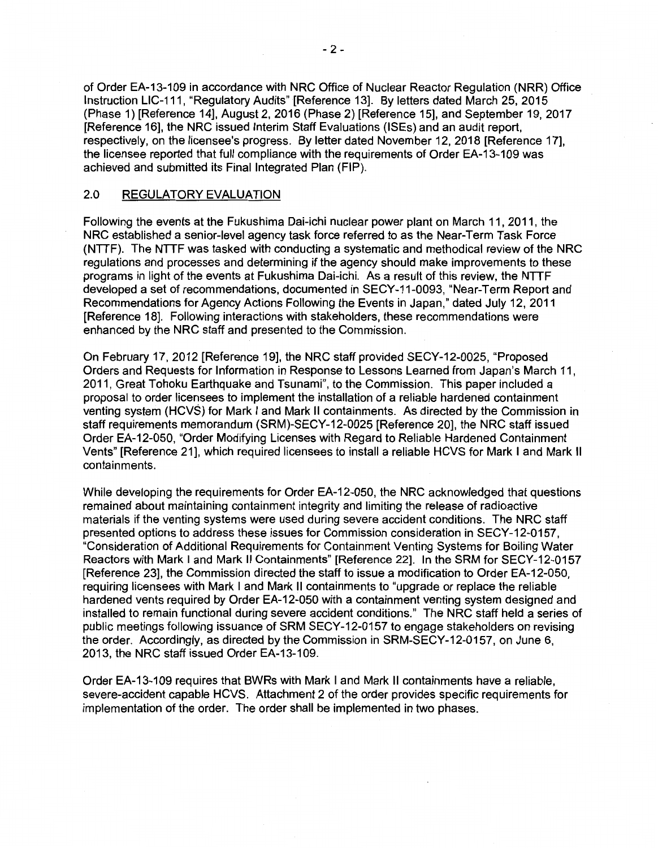of Order EA-13-109 in accordance with NRC Office of Nuclear Reactor Regulation (NRR) Office Instruction LIC-111, "Regulatory Audits" [Reference 13]. By letters dated March 25, 2015 (Phase 1) [Reference 14], August 2, 2016 (Phase 2) [Reference 15], and September 19, 2017 [Reference 16], the NRC issued Interim Staff Evaluations {ISEs) and an audit report, respectively, on the licensee's progress. By letter dated November 12, 2018 [Reference 17], the licensee reported that full compliance with the requirements of Order EA-13-109 was achieved and submitted its Final Integrated Plan (FIP).

# 2.0 REGULATORY EVALUATION

Following the events at the Fukushima Dai-ichi nuclear power plant on March 11, 2011, the NRC established a senior-level agency task force referred to as the Near-Term Task Force {NTTF). The NTTF was tasked with conducting a systematic and methodical review of the NRC regulations and processes and determining if the agency should make improvements to these programs in light of the events at Fukushima Dai-ichi. As a result of this review, the NTTF developed a set of recommendations, documented in SECY-11-0093, "Near-Term Report and Recommendations for Agency Actions Following the Events in Japan," dated July 12, 2011 [Reference 18]. Following interactions with stakeholders, these recommendations were enhanced by the NRC staff and presented to the Commission.

On February 17, 2012 [Reference 19], the NRC staff provided SECY-12-0025, "Proposed Orders and Requests for Information in Response to Lessons Learned from Japan's March 11, 2011, Great Tohoku Earthquake and Tsunami", to the Commission. This paper included a proposal to order licensees to implement the installation of a reliable hardened containment venting system (HCVS) for Mark I and Mark II containments. As directed by the Commission in staff requirements memorandum (SRM)-SECY-12-0025 [Reference 20], the NRC staff issued Order EA-12-050, "Order Modifying Licenses with Regard to Reliable Hardened Containment Vents" [Reference 21], which required licensees to install a reliable HCVS for Mark I and Mark II containments.

While developing the requirements for Order EA-12-050, the NRC acknowledged that questions remained about maintaining containment integrity and limiting the release of radioactive materials if the venting systems were used during severe accident conditions. The NRC staff presented options to address these issues for Commission consideration in SECY-12-0157, "Consideration of Additional Requirements for Containment Venting Systems for Boiling Water Reactors with Mark I and Mark II Containments" [Reference 22]. In the SRM for SECY-12-0157 [Reference 23], the Commission directed the staff to issue a modification to Order EA-12-050, requiring licensees with Mark I and Mark II containments to "upgrade or replace the reliable hardened vents required by Order EA-12-050 with a containment venting system designed and installed to remain functional during severe accident conditions." The NRC staff held a series of public meetings following issuance of SRM SECY-12-0157 to engage stakeholders on revising the order. Accordingly, as directed by the Commission in SRM-SECY-12-0157, on June 6, 2013, the NRC staff issued Order EA-13-109.

Order EA-13-109 requires that BWRs with Mark I and Mark II containments have a reliable, severe-accident capable HCVS. Attachment 2 of the order provides specific requirements for implementation of the order. The order shall be implemented in two phases.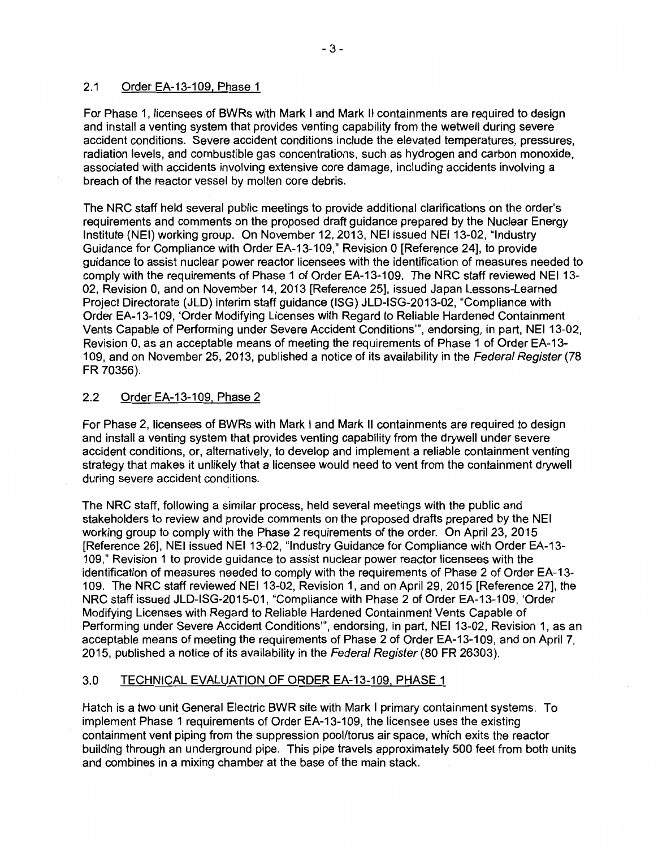# 2.1 Order EA-13-109, Phase 1

For Phase 1, licensees of BWRs with Mark I and Mark II containments are required to design and install a venting system that provides venting capability from the wetwell during severe accident conditions. Severe accident conditions include the elevated temperatures, pressures, radiation levels, and combustible gas concentrations, such as hydrogen and carbon monoxide, associated with accidents involving extensive core damage, including accidents involving a breach of the reactor vessel by molten core debris.

The NRC staff held several public meetings to provide additional clarifications on the order's requirements and comments on the proposed draft guidance prepared by the Nuclear Energy Institute (NEI) working group. On November 12, 2013, NEI issued NEI 13-02, "Industry Guidance for Compliance with Order EA-13-109," Revision O [Reference 24], to provide guidance to assist nuclear power reactor licensees with the identification of measures needed to comply with the requirements of Phase 1 of Order EA-13-109. The NRC staff reviewed NEI 13- 02, Revision 0, and on November 14, 2013 [Reference 25], issued Japan Lessons-Learned Project Directorate (JLD) interim staff guidance (ISG) JLD-ISG-2013-02, "Compliance with Order EA-13-109, 'Order Modifying Licenses with Regard to Reliable Hardened Containment Vents Capable of Performing under Severe Accident Conditions"', endorsing, in part, NEI 13-02, Revision 0, as an acceptable means of meeting the requirements of Phase 1 of Order EA-13- 109, and on November 25, 2013, published a notice of its availability in the Federal Register (78 FR 70356).

# 2.2 Order EA-13-109, Phase 2

For Phase 2, licensees of BWRs with Mark I and Mark II containments are required to design and install a venting system that provides venting capability from the drywell under severe accident conditions, or, alternatively, to develop and implement a reliable containment venting strategy that makes it unlikely that a licensee would need to vent from the containment drywell during severe accident conditions.

The NRC staff, following a similar process, held several meetings with the public and stakeholders to review and provide comments on the proposed drafts prepared by the NEI working group to comply with the Phase 2 requirements of the order. On April 23, 2015 [Reference 26], NEI issued NEI 13-02, "Industry Guidance for Compliance with Order EA-13- 109," Revision 1 to provide guidance to assist nuclear power reactor licensees with the identification of measures needed to comply with the requirements of Phase 2 of Order EA-13- 109. The NRC staff reviewed NEI 13-02, Revision 1, and on April 29, 2015 [Reference 27], the NRC staff issued JLD-ISG-2015-01, "Compliance with Phase 2 of Order EA-13-109, 'Order Modifying Licenses with Regard to Reliable Hardened Containment Vents Capable of Performing under Severe Accident Conditions"', endorsing, in part, NEI 13-02, Revision 1, as an acceptable means of meeting the requirements of Phase 2 of Order EA-13-109, and on April 7, 2015, published a notice of its availability in the Federal Register (80 FR 26303).

# 3.0 TECHNICAL EVALUATION OF ORDER EA-13-109, PHASE 1

Hatch is a two unit General Electric BWR site with Mark I primary containment systems. To implement Phase 1 requirements of Order EA-13-109, the licensee uses the existing containment vent piping from the suppression pool/torus air space, which exits the reactor building through an underground pipe. This pipe travels approximately 500 feet from both units and combines in a mixing chamber at the base of the main stack.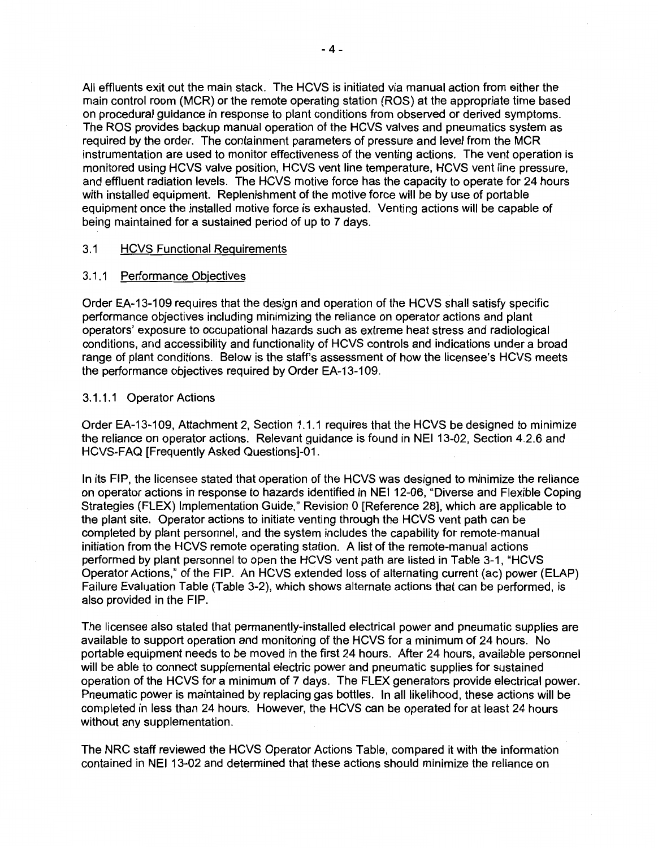All effluents exit out the main stack. The HCVS is initiated via manual action from either the main control room (MCR) or the remote operating station (ROS) at the appropriate time based on procedural guidance in response to plant conditions from observed or derived symptoms. The ROS provides backup manual operation of the HCVS valves and pneumatics system as required by the order. The containment parameters of pressure and level from the MCR instrumentation are used to monitor effectiveness of the venting actions. The vent operation is monitored using HCVS valve position, HCVS vent line temperature, HCVS vent line pressure, and effluent radiation levels. The HCVS motive force has the capacity to operate for 24 hours with installed equipment. Replenishment of the motive force will be by use of portable equipment once the installed motive force is exhausted. Venting actions will be capable of being maintained for a sustained period of up to 7 days.

## 3.1 HCVS Functional Requirements

#### 3.1.1 Performance Objectives

Order EA-13-109 requires that the design and operation of the HCVS shall satisfy specific performance objectives including minimizing the reliance on operator actions and plant operators' exposure to occupational hazards such as extreme heat stress and radiological conditions, and accessibility and functionality of HCVS controls and indications under a broad range of plant conditions. Below is the staff's assessment of how the licensee's HCVS meets the performance objectives required by Order EA-13-109.

#### 3.1.1.1 Operator Actions

Order EA-13-109, Attachment 2, Section 1.1.1 requires that the HCVS be designed to minimize the reliance on operator actions. Relevant guidance is found in NEI 13-02, Section 4.2.6 and HCVS-FAQ [Frequently Asked Questions]-01.

In its FIP, the licensee stated that operation of the HCVS was designed to minimize the reliance on operator actions in response to hazards identified in NEI 12-06, "Diverse and Flexible Coping Strategies (FLEX) Implementation Guide," Revision O [Reference 28], which are applicable to the plant site. Operator actions to initiate venting through the HCVS vent path can be completed by plant personnel, and the system includes the capability for remote-manual initiation from the HCVS remote operating station. A list of the remote-manual actions performed by plant personnel to open the HCVS vent path are listed in Table 3-1, "HCVS Operator Actions," of the FIP. An HCVS extended loss of alternating current (ac) power (ELAP) Failure Evaluation Table (Table 3-2), which shows alternate actions that can be performed, is also provided in the FIP.

The licensee also stated that permanently-installed electrical power and pneumatic supplies are available to support operation and monitoring of the HCVS for a minimum of 24 hours. No portable equipment needs to be moved in the first 24 hours. After 24 hours, available personnel will be able to connect supplemental electric power and pneumatic supplies for sustained operation of the HCVS for a minimum of 7 days. The FLEX generators provide electrical power. Pneumatic power is maintained by replacing gas bottles. In all likelihood, these actions will be completed in less than 24 hours. However, the HCVS can be operated for at least 24 hours without any supplementation.

The NRC staff reviewed the HCVS Operator Actions Table, compared it with the information contained in NEI 13-02 and determined that these actions should minimize the reliance on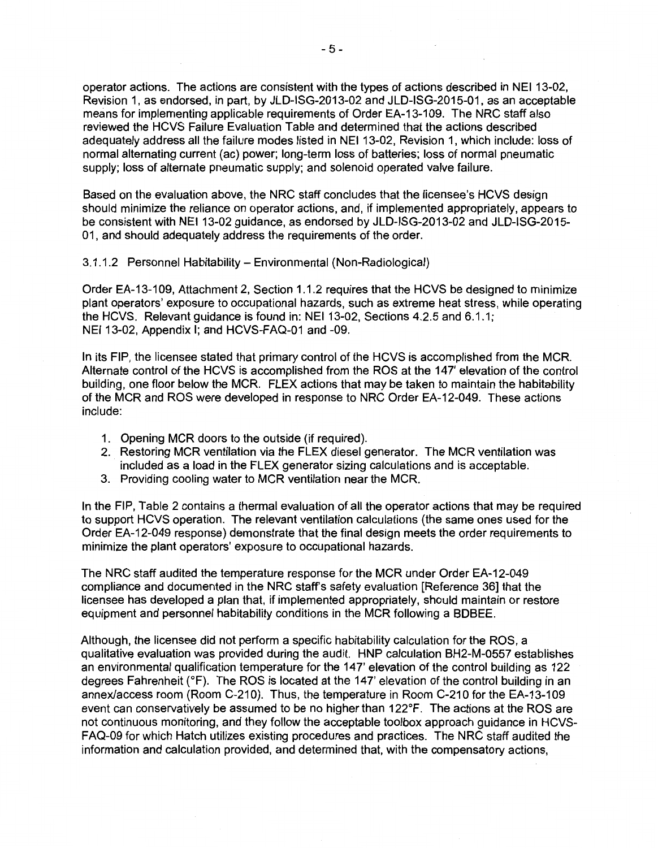operator actions. The actions are consistent with the types of actions described in NEI 13-02, Revision 1, as endorsed, in part, by JLD-ISG-2013-02 and JLD-ISG-2015-01, as an acceptable means for implementing applicable requirements of Order EA-13-109. The NRC staff also reviewed the HCVS Failure Evaluation Table and determined that the actions described adequately address all the failure modes listed in NEI 13-02, Revision 1, which include: loss of normal alternating current (ac) power; long-term loss of batteries; loss of normal pneumatic supply; loss of alternate pneumatic supply; and solenoid operated valve failure.

Based on the evaluation above, the NRC staff concludes that the licensee's HCVS design should minimize the reliance on operator actions, and, if implemented appropriately, appears to be consistent with NEI 13-02 guidance, as endorsed by JLD-ISG-2013-02 and JLD-ISG-2015- 01, and should adequately address the requirements of the order.

3.1.1.2 Personnel Habitability- Environmental (Non-Radiological)

Order EA-13-109, Attachment 2, Section 1.1.2 requires that the HCVS be designed to minimize plant operators' exposure to occupational hazards, such as extreme heat stress, while operating the HCVS. Relevant guidance is found in: NEI 13-02, Sections 4.2.5 and 6.1.1; NEI 13-02, Appendix I; and HCVS-FAQ-01 and -09.

In its FIP, the licensee stated that primary control of the HCVS is accomplished from the MCR. Alternate control of the HCVS is accomplished from the ROS at the 147' elevation of the control building, one floor below the MCR. FLEX actions that may be taken to maintain the habitability of the MCR and ROS were developed in response to NRC Order EA-12-049. These actions include:

- 1. Opening MCR doors to the outside (if required).
- 2. Restoring MCR ventilation via the FLEX diesel generator. The MCR ventilation was included as a load in the FLEX generator sizing calculations and is acceptable.
- 3. Providing cooling water to MCR ventilation near the MCR.

In the FIP, Table 2 contains a thermal evaluation of all the operator actions that may be required to support HCVS operation. The relevant ventilation calculations (the same ones used for the Order EA-12-049 response) demonstrate that the final design meets the order requirements to minimize the plant operators' exposure to occupational hazards.

The NRC staff audited the temperature response for the MCR under Order EA-12-049 compliance and documented in the NRC staff's safety evaluation [Reference 36] that the licensee has developed a plan that, if implemented appropriately, should maintain or restore equipment and personnel habitability conditions in the MCR following a BDBEE.

Although, the licensee did not perform a specific habitability calculation for the ROS, a qualitative evaluation was provided during the audit. HNP calculation BH2-M-0557 establishes an environmental qualification temperature for the 147' elevation of the control building as 122 degrees Fahrenheit (°F). The ROS is located at the 147' elevation of the control building in an annex/access room (Room C-210). Thus, the temperature in Room C-210 for the EA-13-109 event can conservatively be assumed to be no higher than 122°F. The actions at the ROS are not continuous monitoring, and they follow the acceptable toolbox approach guidance in HCVS-FAQ-09 for which Hatch utilizes existing procedures and practices. The NRC staff audited the information and calculation provided, and determined that, with the compensatory actions,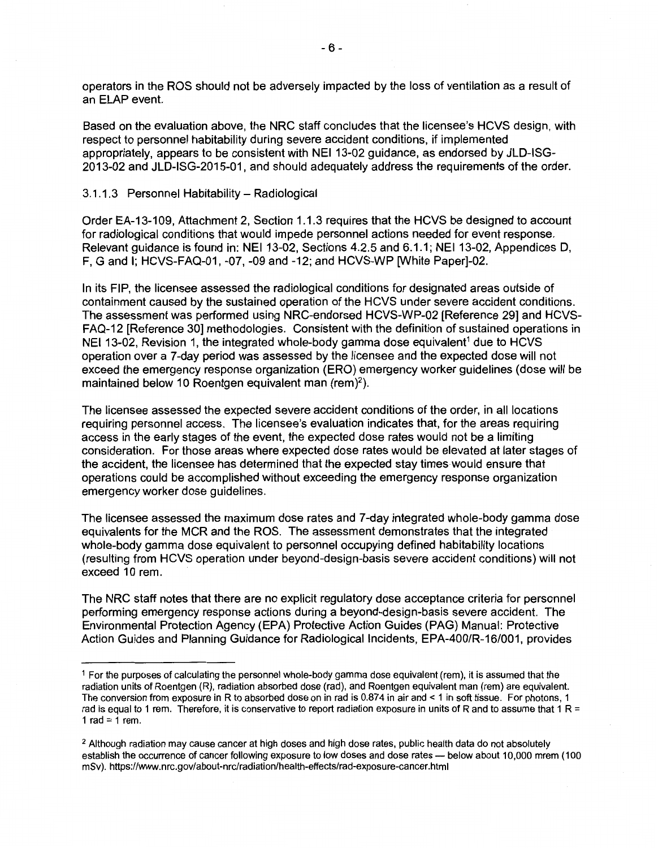operators in the ROS should not be adversely impacted by the loss of ventilation as a result of an ELAP event.

Based on the evaluation above, the NRC staff concludes that the licensee's HCVS design, with respect to personnel habitability during severe accident conditions, if implemented appropriately, appears to be consistent with NEI 13-02 guidance, as endorsed by JLD-ISG-2013-02 and JLD-ISG-2015-01, and should adequately address the requirements of the order.

#### 3.1.1.3 Personnel Habitability - Radiological

Order EA-13-109, Attachment 2, Section 1.1.3 requires that the HCVS be designed to account for radiological conditions that would impede personnel actions needed for event response. Relevant guidance is found in: NEI 13-02, Sections 4.2.5 and 6.1.1; NEI 13-02, Appendices D, F, G and I; HCVS-FAQ-01, -07, -09 and -12; and HCVS-WP [White Paper]-02.

In its FIP, the licensee assessed the radiological conditions for designated areas outside of containment caused by the sustained operation of the HCVS under severe accident conditions. The assessment was performed using NRG-endorsed HCVS-WP-02 [Reference 29] and HCVS-FAQ-12 [Reference 30] methodologies. Consistent with the definition of sustained operations in NEI 13-02, Revision 1, the integrated whole-body gamma dose equivalent<sup>1</sup> due to HCVS operation over a 7-day period was assessed by the licensee and the expected dose will not exceed the emergency response organization (ERO) emergency worker guidelines (dose will be maintained below 10 Roentgen equivalent man (rem)<sup>2</sup>).

The licensee assessed the expected severe accident conditions of the order, in all locations requiring personnel access. The licensee's evaluation indicates that, for the areas requiring access in the early stages of the event, the expected dose rates would not be a limiting consideration. For those areas where expected dose rates would be elevated at later stages of the accident, the licensee has determined that the expected stay times would ensure that operations could be accomplished without exceeding the emergency response organization emergency worker dose guidelines.

The licensee assessed the maximum dose rates and 7-day integrated whole-body gamma dose equivalents for the MCR and the ROS. The assessment demonstrates that the integrated whole-body gamma dose equivalent to personnel occupying defined habitability locations (resulting from HCVS operation under beyond-design-basis severe accident conditions) will not exceed 10 rem.

The NRC staff notes that there are no explicit regulatory dose acceptance criteria for personnel performing emergency response actions during a beyond-design-basis severe accident. The Environmental Protection Agency (EPA) Protective Action Guides (PAG) Manual: Protective Action Guides and Planning Guidance for Radiological Incidents, EPA-400/R-16/001, provides

<sup>1</sup>For the purposes of calculating the personnel whole-body gamma dose equivalent (rem), it is assumed that the radiation units of Roentgen (R), radiation absorbed dose (rad), and Roentgen equivalent man (rem) are equivalent. The conversion from exposure in R to absorbed dose on in rad is 0.874 in air and < 1 in soft tissue. For photons, 1 rad is equal to 1 rem. Therefore, it is conservative to report radiation exposure in units of R and to assume that 1 R = 1 rad =  $1$  rem.

<sup>&</sup>lt;sup>2</sup> Although radiation may cause cancer at high doses and high dose rates, public health data do not absolutely establish the occurrence of cancer following exposure to low doses and dose rates - below about 10,000 mrem (100 mSv). https://www.nrc.gov/about-nrc/radiation/health-effects/rad-exposure-cancer.html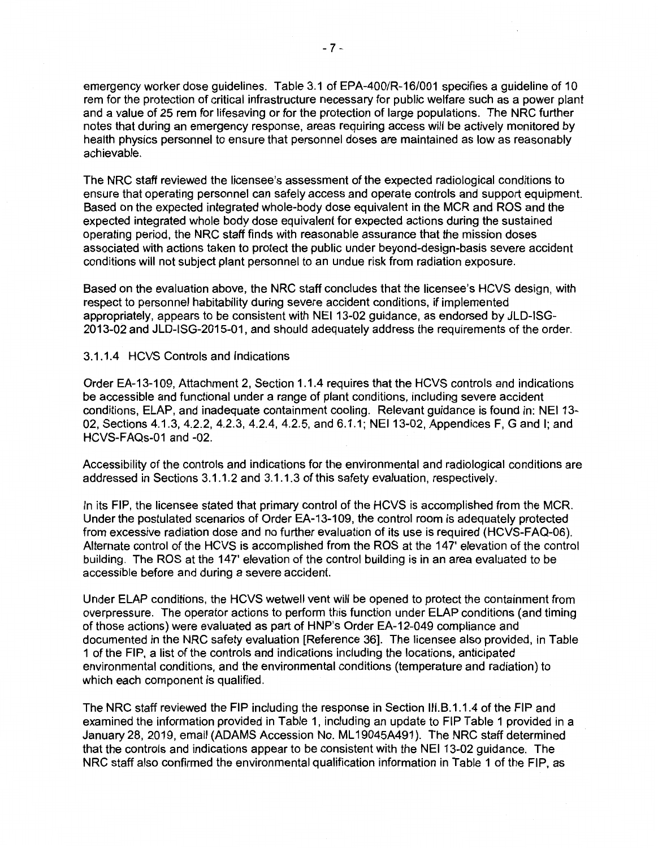emergency worker dose guidelines. Table 3.1 of EPA-400/R-16/001 specifies a guideline of 10 rem for the protection of critical infrastructure necessary for public welfare such as a power plant and a value of 25 rem for lifesaving or for the protection of large populations. The NRC further notes that during an emergency response, areas requiring access will be actively monitored by health physics personnel to ensure that personnel doses are maintained as low as reasonably achievable.

The NRC staff reviewed the licensee's assessment of the expected radiological conditions to ensure that operating personnel can safely access and operate controls and support equipment. Based on the expected integrated whole-body dose equivalent in the MCR and ROS and the expected integrated whole body dose equivalent for expected actions during the sustained operating period, the NRC staff finds with reasonable assurance that the mission doses associated with actions taken to protect the public under beyond-design-basis severe accident conditions will not subject plant personnel to an undue risk from radiation exposure.

Based on the evaluation above, the NRC staff concludes that the licensee's HCVS design, with respect to personnel habitability during severe accident conditions, if implemented appropriately, appears to be consistent with NEI 13-02 guidance, as endorsed by JLD-ISG-2013-02 and JLD-ISG-2015-01, and should adequately address the requirements of the order.

#### 3.1.1.4 HCVS Controls and Indications

Order EA-13-109, Attachment 2, Section 1.1.4 requires that the HCVS controls and indications be accessible and functional under a range of plant conditions, including severe accident conditions, ELAP, and inadequate containment cooling. Relevant guidance is found in: NEI 13- 02, Sections 4.1.3, 4.2.2, 4.2.3, 4.2.4, 4.2.5, and 6.1.1; NEI 13-02, Appendices F, G and I; and HCVS-FAQs-01 and -02.

Accessibility of the controls and indications for the environmental and radiological conditions are addressed in Sections 3.1.1.2 and 3.1.1.3 of this safety evaluation, respectively.

In its FIP, the licensee stated that primary control of the HCVS is accomplished from the MCR. Under the postulated scenarios of Order EA-13-109, the control room is adequately protected from excessive radiation dose and no further evaluation of its use is required (HCVS-FAQ-06). Alternate control of the HCVS is accomplished from the ROS at the 147' elevation of the control building. The ROS at the 147' elevation of the control building is in an area evaluated to be accessible before and during a severe accident.

Under ELAP conditions, the HCVS wetwell vent will be opened to protect the containment from overpressure. The operator actions to perform this function under ELAP conditions (and timing of those actions) were evaluated as part of HNP's Order EA-12-049 compliance and documented in the NRC safety evaluation [Reference 36]. The licensee also provided, in Table 1 of the FIP, a list of the controls and indications including the locations, anticipated environmental conditions, and the environmental conditions (temperature and radiation) to which each component is qualified.

The NRC staff reviewed the FIP including the response in Section 111.8.1.1.4 of the FIP and examined the information provided in Table 1, including an update to FIP Table 1 provided in a January 28, 2019, email (ADAMS Accession No. ML 19045A491 ). The NRC staff determined that the controls and indications appear to be consistent with the NEI 13-02 guidance. The NRC staff also confirmed the environmental qualification information in Table 1 of the FIP, as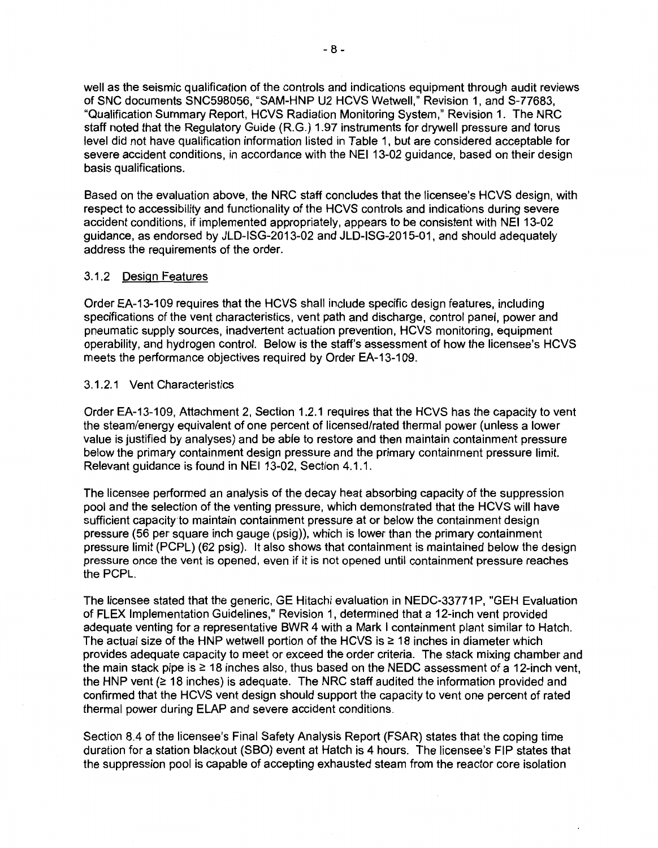well as the seismic qualification of the controls and indications equipment through audit reviews of SNC documents SNC598056, "SAM-HNP U2 HCVS Wetwell," Revision 1, and S-77683, "Qualification Summary Report, HCVS Radiation Monitoring System," Revision 1. The NRC staff noted that the Regulatory Guide (R.G.) 1.97 instruments for drywell pressure and torus level did not have qualification information listed in Table 1, but are considered acceptable for severe accident conditions, in accordance with the NEI 13-02 guidance, based on their design basis qualifications.

Based on the evaluation above, the NRC staff concludes that the licensee's HCVS design, with respect to accessibility and functionality of the HCVS controls and indications during severe accident conditions, if implemented appropriately, appears to be consistent with NEI 13-02 guidance, as endorsed by JLD-ISG-2013-02 and JLD-ISG-2015-01, and should adequately address the requirements of the order.

## 3.1.2 Design Features

Order EA-13-109 requires that the HCVS shall include specific design features, including specifications of the vent characteristics, vent path and discharge, control panel, power and pneumatic supply sources, inadvertent actuation prevention, HCVS monitoring, equipment operability, and hydrogen control. Below is the staff's assessment of how the licensee's HCVS meets the performance objectives required by Order EA-13-109.

## 3.1.2.1 Vent Characteristics

Order EA-13-109, Attachment 2, Section 1.2.1 requires that the HCVS has the capacity to vent the steam/energy equivalent of one percent of licensed/rated thermal power (unless a lower value is justified by analyses) and be able to restore and then maintain containment pressure below the primary containment design pressure and the primary containment pressure limit. Relevant guidance is found in NEI 13-02, Section 4.1.1.

The licensee performed an analysis of the decay heat absorbing capacity of the suppression pool and the selection of the venting pressure, which demonstrated that the HCVS will have sufficient capacity to maintain containment pressure at or below the containment design pressure (56 per square inch gauge (psig)), which is lower than the primary containment pressure limit (PCPL) (62 psig). It also shows that containment is maintained below the design pressure once the vent is opened, even if it is not opened until containment pressure reaches the PCPL.

The licensee stated that the generic, GE Hitachi evaluation in NEDC-33771P, "GEH Evaluation of FLEX Implementation Guidelines," Revision 1, determined that a 12-inch vent provided adequate venting for a representative BWR 4 with a Mark I containment plant similar to Hatch. The actual size of the HNP wetwell portion of the HCVS is  $\geq$  18 inches in diameter which provides adequate capacity to meet or exceed the order criteria. The stack mixing chamber and the main stack pipe is  $\geq 18$  inches also, thus based on the NEDC assessment of a 12-inch vent, the HNP vent ( $\geq$  18 inches) is adequate. The NRC staff audited the information provided and confirmed that the HCVS vent design should support the capacity to vent one percent of rated thermal power during ELAP and severe accident conditions.

Section 8.4 of the licensee's Final Safety Analysis Report (FSAR) states that the coping time duration for a station blackout (SBO) event at Hatch is 4 hours. The licensee's FIP states that the suppression pool is capable of accepting exhausted steam from the reactor core isolation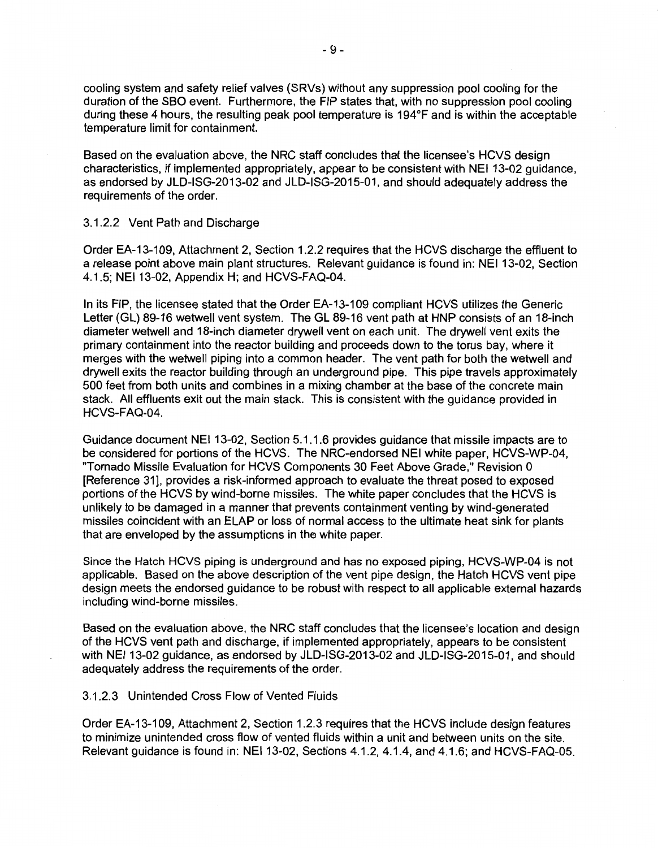cooling system and safety relief valves (SRVs) without any suppression pool cooling for the duration of the SBO event. Furthermore, the FIP states that, with no suppression pool cooling during these 4 hours, the resulting peak pool temperature is 194°F and is within the acceptable temperature limit for containment.

Based on the evaluation above, the NRC staff concludes that the licensee's HCVS design characteristics, if implemented appropriately, appear to be consistent with NEI 13-02 guidance, as endorsed by JLD-ISG-2013-02 and JLD-ISG-2015-01, and should adequately address the requirements of the order.

### 3.1.2.2 Vent Path and Discharge

Order EA-13-109, Attachment 2, Section 1.2.2 requires that the HCVS discharge the effluent to a release point above main plant structures. Relevant guidance is found in: NEI 13-02, Section 4.1.5; NEI 13-02, Appendix H; and HCVS-FAQ-04.

In its FIP, the licensee stated that the Order EA-13-109 compliant HCVS utilizes the Generic Letter (GL) 89-16 wetwell vent system. The GL 89-16 vent path at HNP consists of an 18-inch diameter wetwell and 18-inch diameter drywall vent on each unit. The drywall vent exits the primary containment into the reactor building and proceeds down to the torus bay, where it merges with the wetwell piping into a common header. The vent path for both the wetwell and drywall exits the reactor building through an underground pipe. This pipe travels approximately 500 feet from both units and combines in a mixing chamber at the base of the concrete main stack. All effluents exit out the main stack. This is consistent with the guidance provided in HCVS-FAQ-04.

Guidance document NEI 13-02, Section 5.1.1.6 provides guidance that missile impacts are to be considered for portions of the HCVS. The NRG-endorsed NEI white paper, HCVS-WP-04, "Tornado Missile Evaluation for HCVS Components 30 Feet Above Grade," Revision O [Reference 31), provides a risk-informed approach to evaluate the threat posed to exposed portions of the HCVS by wind-borne missiles. The white paper concludes that the HCVS is unlikely to be damaged in a manner that prevents containment venting by wind-generated missiles coincident with an ELAP or loss of normal access to the ultimate heat sink for plants that are enveloped by the assumptions in the white paper.

Since the Hatch HCVS piping is underground and has no exposed piping, HCVS-WP-04 is not applicable. Based on the above description of the vent pipe design, the Hatch HCVS vent pipe design meets the endorsed guidance to be robust with respect to all applicable external hazards including wind-borne missiles.

Based on the evaluation above, the NRC staff concludes that the licensee's location and design of the HCVS vent path and discharge, if implemented appropriately, appears to be consistent with NEI 13-02 guidance, as endorsed by JLD-ISG-2013-02 and JLD-ISG-2015-01, and should adequately address the requirements of the order.

### 3.1.2.3 Unintended Cross Flow of Vented Fluids

Order EA-13-109, Attachment 2, Section 1.2.3 requires that the HCVS include design features to minimize unintended cross flow of vented fluids within a unit and between units on the site. Relevant guidance is found in: NEI 13-02, Sections 4.1.2, 4.1.4, and 4.1.6; and HCVS-FAQ-05.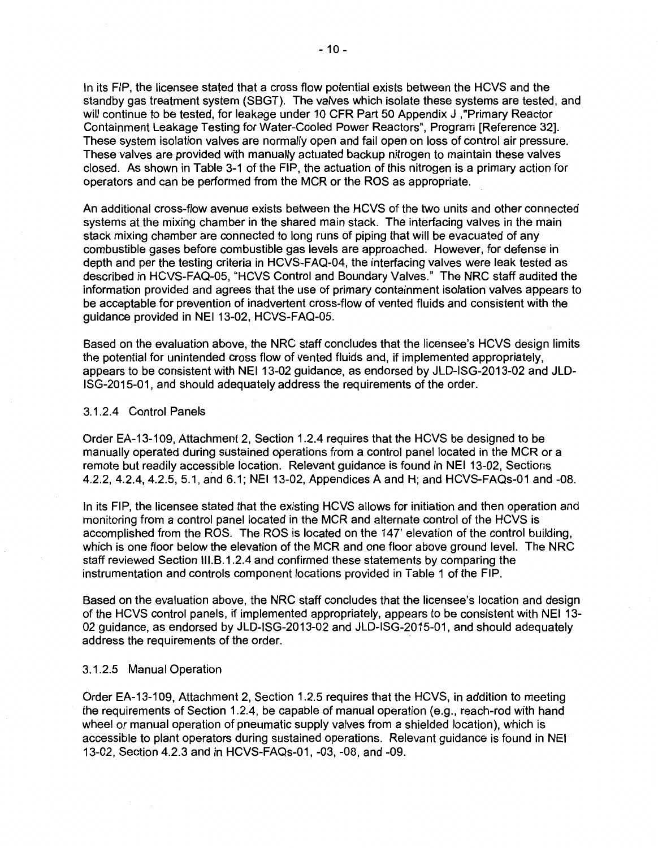In its FIP, the licensee stated that a cross flow potential exists between the HCVS and the standby gas treatment system (SBGT}. The valves which isolate these systems are tested, and will continue to be tested, for leakage under 10 CFR Part 50 Appendix J ,"Primary Reactor Containment Leakage Testing for Water-Cooled Power Reactors", Program [Reference 32]. These system isolation valves are normally open and fail open on loss of control air pressure. These valves are provided with manually actuated backup nitrogen to maintain these valves closed. As shown in Table 3-1 of the FIP, the actuation of this nitrogen is a primary action for operators and can be performed from the MCR or the ROS as appropriate.

An additional cross-flow avenue exists between the HCVS of the two units and other connected systems at the mixing chamber in the shared main stack. The interfacing valves in the main stack mixing chamber are connected to long runs of piping that will be evacuated of any combustible gases before combustible gas levels are approached. However, for defense in depth and per the testing criteria in HCVS-FAQ-04, the interfacing valves were leak tested as described in HCVS-FAQ-05, "HCVS Control and Boundary Valves." The NRC staff audited the information provided and agrees that the use of primary containment isolation valves appears to be acceptable for prevention of inadvertent cross-flow of vented fluids and consistent with the guidance provided in NEI 13-02, HCVS-FAQ-05.

Based on the evaluation above, the NRC staff concludes that the licensee's HCVS design limits the potential for unintended cross flow of vented fluids and, if implemented appropriately, appears to be consistent with NEI 13-02 guidance, as endorsed by JLD-ISG-2013-02 and JLD-ISG-2015-01, and should adequately address the requirements of the order.

#### 3.1.2.4 Control Panels

Order EA-13-109, Attachment 2, Section 1.2.4 requires that the HCVS be designed to be manually operated during sustained operations from a control panel located in the MCR or a remote but readily accessible location. Relevant guidance is found in NEI 13-02, Sections 4.2.2, 4.2.4, 4.2.5, 5.1, and 6.1; NEI 13-02, Appendices A and H; and HCVS-FAQs-01 and -08.

In its FIP, the licensee stated that the existing HCVS allows for initiation and then operation and monitoring from a control panel located in the MCR and alternate control of the HCVS is accomplished from the ROS. The ROS is located on the 147' elevation of the control building, which is one floor below the elevation of the MCR and one floor above ground level. The NRC staff reviewed Section 111.B.1.2.4 and confirmed these statements by comparing the instrumentation and controls component locations provided in Table 1 of the FIP.

Based on the evaluation above, the NRC staff concludes that the licensee's location and design of the HCVS control panels, if implemented appropriately, appears to be consistent with NEI 13- 02 guidance, as endorsed by JLD-ISG-2013-02 and JLD-ISG-2015-01, and should adequately address the requirements of the order.

### 3.1.2.5 Manual Operation

Order EA-13-109, Attachment 2, Section 1.2.5 requires that the HCVS, in addition to meeting the requirements of Section 1.2.4, be capable of manual operation (e.g., reach-rod with hand wheel or manual operation of pneumatic supply valves from a shielded location), which is accessible to plant operators during sustained operations. Relevant guidance is found in NEI 13-02, Section 4.2.3 and in HCVS-FAQs-01, -03, -08, and -09.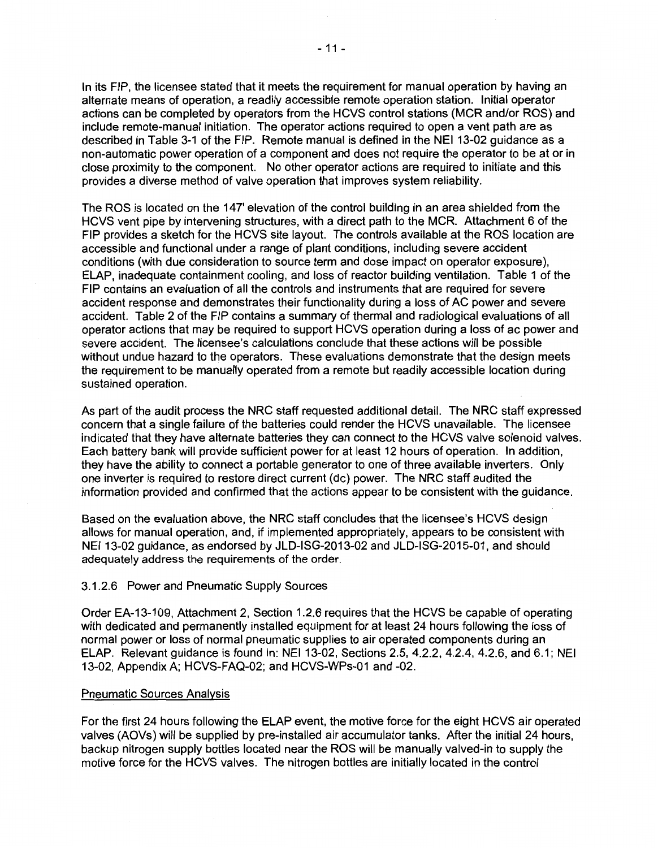In its FIP, the licensee stated that it meets the requirement for manual operation by having an alternate means of operation, a readily accessible remote operation station. Initial operator actions can be completed by operators from the HCVS control stations (MCR and/or ROS) and include remote-manual initiation. The operator actions required to open a vent path are as described in Table 3-1 of the FIP. Remote manual is defined in the NEI 13-02 guidance as a non-automatic power operation of a component and does not require the operator to be at or in close proximity to the component. No other operator actions are required to initiate and this provides a diverse method of valve operation that improves system reliability.

The ROS is located on the 147' elevation of the control building in an area shielded from the HCVS vent pipe by intervening structures, with a direct path to the MCR. Attachment 6 of the FIP provides a sketch for the HCVS site layout. The controls available at the ROS location are accessible and functional under a range of plant conditions, including severe accident conditions (with due consideration to source term and dose impact on operator exposure), ELAP, inadequate containment cooling, and loss of reactor building ventilation. Table 1 of the FIP contains an evaluation of all the controls and instruments that are required for severe accident response and demonstrates their functionality during a loss of AC power and severe accident. Table 2 of the FIP contains a summary of thermal and radiological evaluations of all operator actions that may be required to support HCVS operation during a loss of ac power and severe accident. The licensee's calculations conclude that these actions will be possible without undue hazard to the operators. These evaluations demonstrate that the design meets the requirement to be manually operated from a remote but readily accessible location during sustained operation.

As part of the audit process the NRC staff requested additional detail. The NRC staff expressed concern that a single failure of the batteries could render the HCVS unavailable. The licensee indicated that they have alternate batteries they can connect to the HCVS valve solenoid valves. Each battery bank will provide sufficient power for at least 12 hours of operation. In addition, they have the ability to connect a portable generator to one of three available inverters. Only one inverter is required to restore direct current (de) power. The NRC staff audited the information provided and confirmed that the actions appear to be consistent with the guidance.

Based on the evaluation above, the NRC staff concludes that the licensee's HCVS design allows for manual operation, and, if implemented appropriately, appears to be consistent with NEI 13-02 guidance, as endorsed by JLD-ISG-2013-02 and JLD-ISG-2015-01, and should adequately address the requirements of the order.

## 3.1.2.6 Power and Pneumatic Supply Sources

Order EA-13-109, Attachment 2, Section 1.2.6 requires that the HCVS be capable of operating with dedicated and permanently installed equipment for at least 24 hours following the loss of normal power or loss of normal pneumatic supplies to air operated components during an ELAP. Relevant guidance is found in: NEI 13-02, Sections 2.5, 4.2.2, 4.2.4, 4.2.6, and 6.1; NEI 13-02, Appendix A; HCVS-FAQ-02; and HCVS-WPs-01 and -02.

#### Pneumatic Sources Analysis

For the first 24 hours following the ELAP event, the motive force for the eight HCVS air operated valves (AOVs) will be supplied by pre-installed air accumulator tanks. After the initial 24 hours, backup nitrogen supply bottles located near the ROS will be manually valved-in to supply the motive force for the HCVS valves. The nitrogen bottles are initially located in the control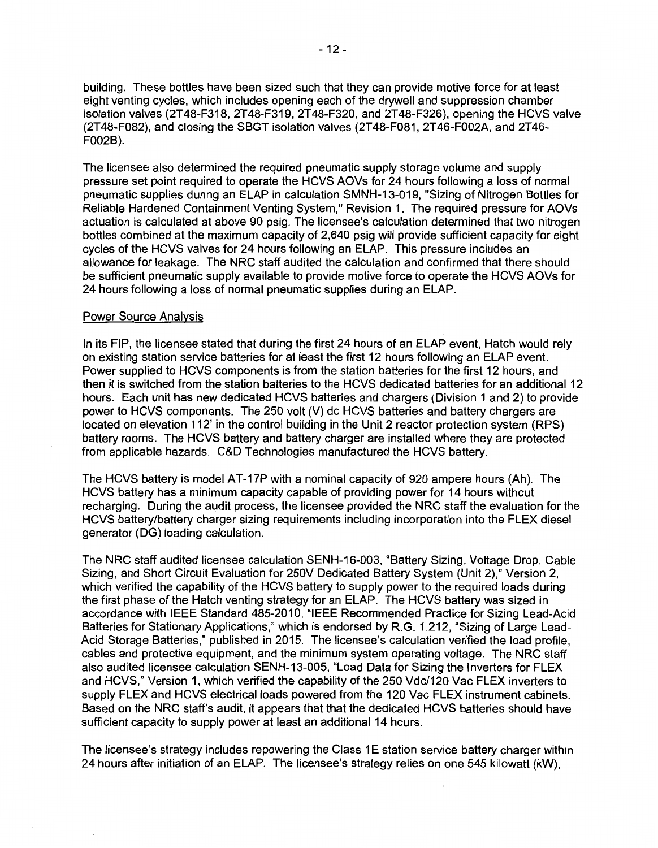building. These bottles have been sized such that they can provide motive force for at least eight venting cycles, which includes opening each of the drywell and suppression chamber isolation valves (2T48-F318, 2T48-F319, 2T48-F320, and 2T48-F326), opening the HCVS valve (2T48-F082), and closing the SBGT isolation valves (2T48-F081, 2T46-F002A, and 2T46- F002B).

The licensee also determined the required pneumatic supply storage volume and supply pressure set point required to operate the HCVS AOVs for 24 hours following a loss of normal pneumatic supplies during an ELAP in calculation SMNH-13-019, "Sizing of Nitrogen Bottles for Reliable Hardened Containment Venting System," Revision 1. The required pressure for AOVs actuation is calculated at above 90 psig. The licensee's calculation determined that two nitrogen bottles combined at the maximum capacity of 2,640 psig will provide sufficient capacity for eight cycles of the HCVS valves for 24 hours following an ELAP. This pressure includes an allowance for leakage. The NRC staff audited the calculation and confirmed that there should be sufficient pneumatic supply available to provide motive force to operate the HCVS AOVs for 24 hours following a loss of normal pneumatic supplies during an ELAP.

### Power Source Analysis

In its FIP, the licensee stated that during the first 24 hours of an ELAP event, Hatch would rely on existing station service batteries for at least the first 12 hours following an ELAP event. Power supplied to HCVS components is from the station batteries for the first 12 hours, and then it is switched from the station batteries to the HCVS dedicated batteries for an additional 12 hours. Each unit has new dedicated HCVS batteries and chargers (Division 1 and 2) to provide power to HCVS components. The 250 volt (V) de HCVS batteries and battery chargers are located on elevation 112' in the control building in the Unit 2 reactor protection system (RPS) battery rooms. The HCVS battery and battery charger are installed where they are protected from applicable hazards. C&D Technologies manufactured the HCVS battery.

The HCVS battery is model AT-17P with a nominal capacity of 920 ampere hours (Ah). The HCVS battery has a minimum capacity capable of providing power for 14 hours without recharging. During the audit process, the licensee provided the NRC staff the evaluation for the HCVS battery/battery charger sizing requirements including incorporation into the FLEX diesel generator (DG) loading calculation.

The NRC staff audited licensee calculation SENH-16-003, "Battery Sizing, Voltage Drop, Cable Sizing, and Short Circuit Evaluation for 250V Dedicated Battery System (Unit 2)," Version 2, which verified the capability of the HCVS battery to supply power to the required loads during the first phase of the Hatch venting strategy for an ELAP. The HCVS battery was sized in accordance with IEEE Standard 485-2010, "IEEE Recommended Practice for Sizing Lead-Acid Batteries for Stationary Applications," which is endorsed by R.G. 1.212, "Sizing of Large Lead-Acid Storage Batteries," published in 2015. The licensee's calculation verified the load profile, cables and protective equipment, and the minimum system operating voltage. The NRC staff also audited licensee calculation SENH-13-005, "Load Data for Sizing the Inverters for FLEX and HCVS," Version 1, which verified the capability of the 250 Vdc/120 Vac FLEX inverters to supply FLEX and HCVS electrical loads powered from the 120 Vac FLEX instrument cabinets. Based on the NRC staff's audit, it appears that that the dedicated HCVS batteries should have sufficient capacity to supply power at least an additional 14 hours.

The licensee's strategy includes repowering the Class 1E station service battery charger within 24 hours after initiation of an ELAP. The licensee's strategy relies on one 545 kilowatt (kW),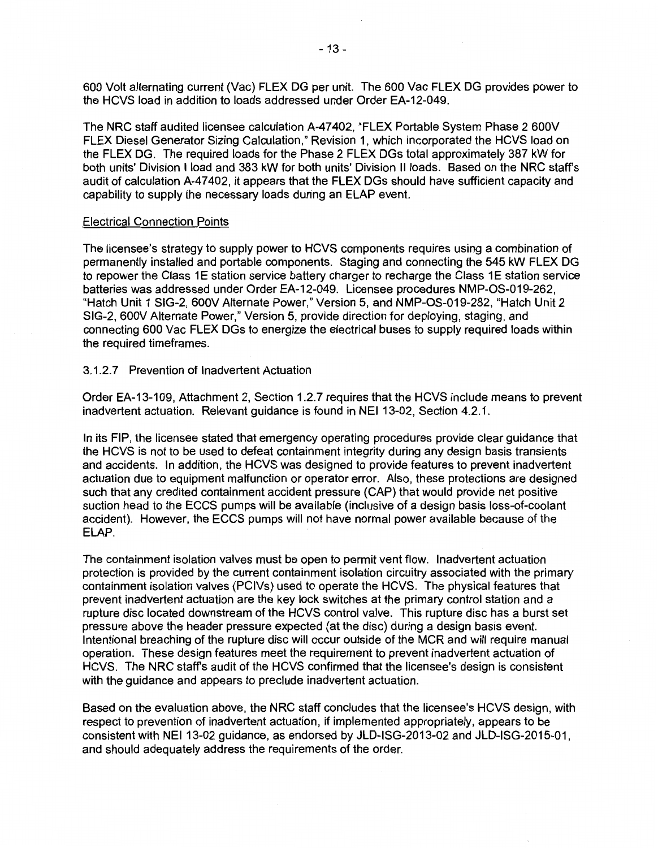600 Volt alternating current (Vac) FLEX DG per unit. The 600 Vac FLEX DG provides power to the HCVS load in addition to loads addressed under Order EA-12-049.

The NRC staff audited licensee calculation A-47402, "FLEX Portable System Phase 2 600V FLEX Diesel Generator Sizing Calculation," Revision 1, which incorporated the HCVS load on the FLEX DG. The required loads for the Phase 2 FLEX DGs total approximately 387 kW for both units' Division I load and 383 kW for both units' Division II loads. Based on the NRC staff's audit of calculation A-47402, it appears that the FLEX DGs should have sufficient capacity and capability to supply the necessary loads during an ELAP event.

#### Electrical Connection Points

The licensee's strategy to supply power to HCVS components requires using a combination of permanently installed and portable components. Staging and connecting the 545 kW FLEX DG to repower the Class 1E station service battery charger to recharge the Class 1E station service batteries was addressed under Order EA-12-049. Licensee procedures NMP-OS-019-262, "Hatch Unit 1 SIG-2, 600V Alternate Power," Version 5, and NMP-OS-019-282, "Hatch Unit 2 SIG-2, 600V Alternate Power," Version 5, provide direction for deploying, staging, and connecting 600 Vac FLEX DGs to energize the electrical buses to supply required loads within the required timeframes.

### 3.1.2. 7 Prevention of Inadvertent Actuation

Order EA-13-109, Attachment 2, Section 1.2. 7 requires that the HCVS include means to prevent inadvertent actuation. Relevant guidance is found in NEI 13-02, Section 4.2.1.

In its FIP, the licensee stated that emergency operating procedures provide clear guidance that the HCVS is not to be used to defeat containment integrity during any design basis transients and accidents. In addition, the HCVS was designed to provide features to prevent inadvertent actuation due to equipment malfunction or operator error. Also, these protections are designed such that any credited containment accident pressure (CAP) that would provide net positive suction head to the ECCS pumps will be available (inclusive of a design basis loss-of-coolant accident). However, the ECCS pumps will not have normal power available because of the ELAP.

The containment isolation valves must be open to permit vent flow. Inadvertent actuation protection is provided by the current containment isolation circuitry associated with the primary containment isolation valves (PCIVs) used to operate the HCVS. The physical features that prevent inadvertent actuation are the key lock switches at the primary control station and a rupture disc located downstream of the HCVS control valve. This rupture disc has a burst set pressure above the header pressure expected (at the disc) during a design basis event. Intentional breaching of the rupture disc will occur outside of the MCR and will require manual operation. These design features meet the requirement to prevent inadvertent actuation of HCVS. The NRC staffs audit of the HCVS confirmed that the licensee's design is consistent with the guidance and appears to preclude inadvertent actuation.

Based on the evaluation above, the NRC staff concludes that the licensee's HCVS design, with respect to prevention of inadvertent actuation, if implemented appropriately, appears to be consistent with NEI 13-02 guidance, as endorsed by JLD-ISG-2013-02 and JLD-ISG-2015-01, and should adequately address the requirements of the order.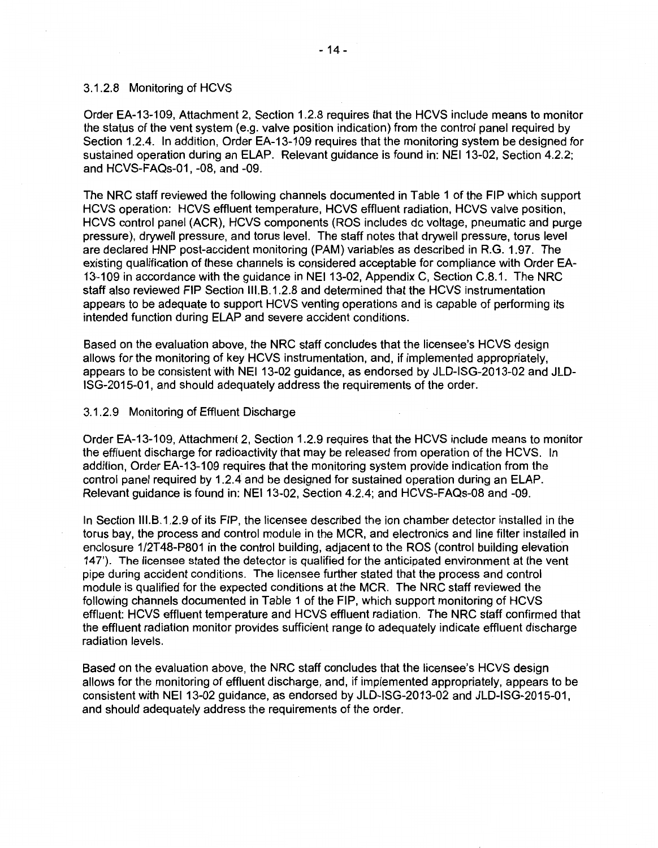#### 3.1.2.8 Monitoring of HCVS

Order EA-13-109, Attachment 2, Section 1.2.8 requires that the HCVS include means to monitor the status of the vent system (e.g. valve position indication) from the control panel required by Section 1.2.4. In addition, Order EA-13-109 requires that the monitoring system be designed for sustained operation during an ELAP. Relevant guidance is found in: NEI 13-02, Section 4.2.2; and HCVS-FAQs-01, -08, and -09.

The NRC staff reviewed the following channels documented in Table 1 of the FIP which support HCVS operation: HCVS effluent temperature, HCVS effluent radiation, HCVS valve position, HCVS control panel (ACR), HCVS components (ROS includes de voltage, pneumatic and purge pressure), drywell pressure, and torus level. The staff notes that drywell pressure, torus level are declared HNP post-accident monitoring (PAM) variables as described in R.G. 1.97. The existing qualification of these channels is considered acceptable for compliance with Order EA-13-109 in accordance with the guidance in NEI 13-02, Appendix C, Section C.8.1. The NRC staff also reviewed FIP Section 111.8.1.2.8 and determined that the HCVS instrumentation appears to be adequate to support HCVS venting operations and is capable of performing its intended function during ELAP and severe accident conditions.

Based on the evaluation above, the NRC staff concludes that the licensee's HCVS design allows for the monitoring of key HCVS instrumentation, and, if implemented appropriately, appears to be consistent with NEI 13-02 guidance, as endorsed by JLD-ISG-2013-02 and JLD-ISG-2015-01, and should adequately address the requirements of the order.

#### 3.1.2.9 Monitoring of Effluent Discharge

Order EA-13-109, Attachment 2, Section 1.2.9 requires that the HCVS include means to monitor the effluent discharge for radioactivity that may be released from operation of the HCVS. In addition, Order EA-13-109 requires that the monitoring system provide indication from the control panel required by 1.2.4 and be designed for sustained operation during an ELAP. Relevant guidance is found in: NEI 13-02, Section 4.2.4; and HCVS-FAQs-08 and -09.

In Section 111.8.1.2.9 of its FIP, the licensee described the ion chamber detector installed in the torus bay, the process and control module in the MCR, and electronics and line filter installed in enclosure 1/2T48-P801 in the control building, adjacent to the ROS (control building elevation 147'). The licensee stated the detector is qualified for the anticipated environment at the vent pipe during accident conditions. The licensee further stated that the process and control module is qualified for the expected conditions at the MCR. The NRC staff reviewed the following channels documented in Table 1 of the FIP, which support monitoring of HCVS effluent: HCVS effluent temperature and HCVS effluent radiation. The NRC staff confirmed that the effluent radiation monitor provides sufficient range to adequately indicate effluent discharge radiation levels.

Based on the evaluation above, the NRC staff concludes that the licensee's HCVS design allows for the monitoring of effluent discharge, and, if implemented appropriately, appears to be consistent with NEI 13-02 guidance, as endorsed by JLD-ISG-2013-02 and JLD-ISG-2015-01, and should adequately address the requirements of the order.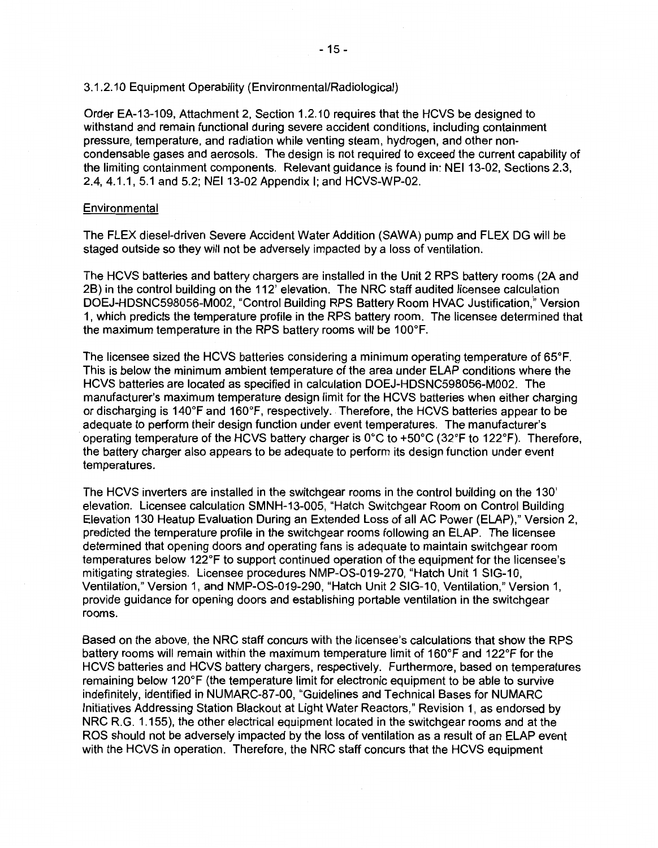#### 3.1.2.10 Equipment Operability (Environmental/Radiological)

Order EA-13-109, Attachment 2, Section 1.2.10 requires that the HCVS be designed to withstand and remain functional during severe accident conditions, including containment pressure, temperature, and radiation while venting steam, hydrogen, and other noncondensable gases and aerosols. The design is not required to exceed the current capability of the limiting containment components. Relevant guidance is found in: NEI 13-02, Sections 2.3, 2.4, 4.1.1, 5.1 and 5.2; NEI 13-02 Appendix I; and HCVS-WP-02.

### **Environmental**

The FLEX diesel-driven Severe Accident Water Addition (SAWA) pump and FLEX DG will be staged outside so they will not be adversely impacted by a loss of ventilation.

The HCVS batteries and battery chargers are installed in the Unit 2 RPS battery rooms (2A and 28) in the control building on the 112' elevation. The NRC staff audited licensee calculation DOEJ-HDSNC598056-M002, "Control Building RPS Battery Room HVAC Justification." Version 1, which predicts the temperature profile in the RPS battery room. The licensee determined that the maximum temperature in the RPS battery rooms will be 100°F.

The licensee sized the HCVS batteries considering a minimum operating temperature of 65°F. This is below the minimum ambient temperature of the area under ELAP conditions where the HCVS batteries are located as specified in calculation D0EJ-HDSNC598056-M002. The manufacturer's maximum temperature design limit for the HCVS batteries when either charging or discharging is 140°F and 160°F, respectively .. Therefore, the HCVS batteries appear to be adequate to perform their design function under event temperatures. The manufacturer's operating temperature of the HCVS battery charger is 0°C to +50°C (32°F to 122°F). Therefore, the battery charger also appears to be adequate to perform its design function under event temperatures.

The HCVS inverters are installed in the switchgear rooms in the control building on the 130' elevation. Licensee calculation SMNH-13-005, "Hatch Switchgear Room on Control Building Elevation 130 Heatup Evaluation During an Extended Loss of all AC Power (ELAP)," Version 2, predicted the temperature profile in the switchgear rooms following an ELAP. The licensee determined that opening doors and operating fans is adequate to maintain switchgear room temperatures below 122°F to support continued operation of the equipment for the licensee's mitigating strategies. Licensee procedures NMP-OS-019-270, "Hatch Unit 1 SIG-10, Ventilation," Version 1, and NMP-OS-019-290, "Hatch Unit 2 SIG-10, Ventilation," Version 1, provide guidance for opening doors and establishing portable ventilation in the switchgear rooms.

Based on the above, the NRC staff concurs with the licensee's calculations that show the RPS battery rooms will remain within the maximum temperature limit of 160°F and 122°F for the HCVS batteries and HCVS battery chargers, respectively. Furthermore, based on temperatures remaining below 120°F (the temperature limit for electronic equipment to be able to survive indefinitely, identified in NUMARC-87-00, "Guidelines and Technical Bases for NUMARC Initiatives Addressing Station Blackout at Light Water Reactors," Revision 1, as endorsed by NRC R.G. 1.155), the other electrical equipment located in the switchgear rooms and at the ROS should not be adversely impacted by the loss of ventilation as a result of an ELAP event with the HCVS in operation. Therefore, the NRC staff concurs that the HCVS equipment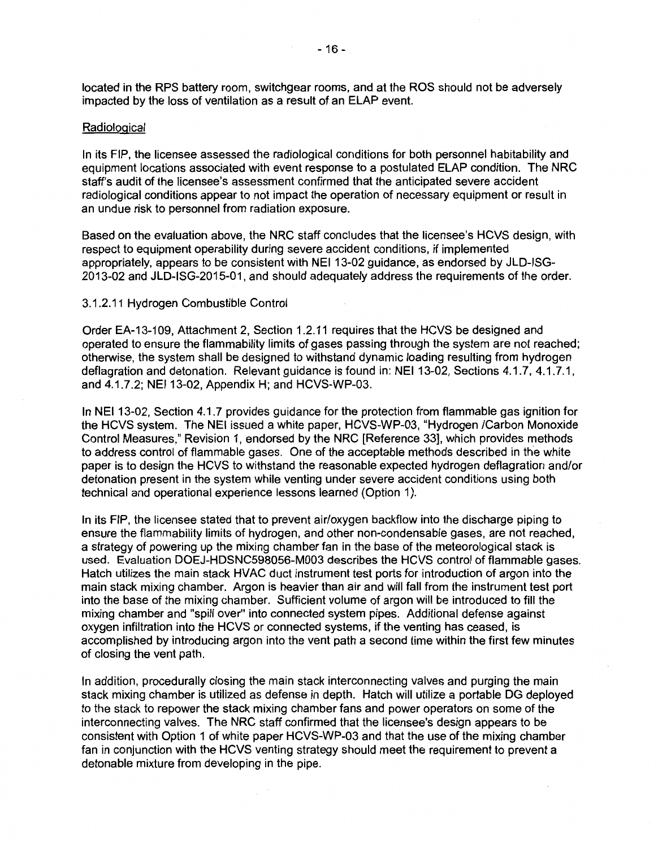located in the RPS battery room, switchgear rooms, and at the ROS should not be adversely impacted by the loss of ventilation as a result of an ELAP event.

#### **Radiological**

In its FIP, the licensee assessed the radiological conditions for both personnel habitability and equipment locations associated with event response to a postulated ELAP condition. The NRC staff's audit of the licensee's assessment confirmed that the anticipated severe accident radiological conditions appear to not impact the operation of necessary equipment or result in an undue risk to personnel from radiation exposure.

Based on the evaluation above, the NRC staff concludes that the licensee's HCVS design, with respect to equipment operability during severe accident conditions, if implemented appropriately, appears to be consistent with NEI 13-02 guidance, as endorsed by JLD-ISG-2013-02 and JLD-ISG-2015-01, and should adequately address the requirements of the order.

#### 3.1.2.11 Hydrogen Combustible Control

Order EA-13-109, Attachment 2, Section 1.2.11 requires that the HCVS be designed and operated to ensure the flammability limits of gases passing through the system are not reached; otherwise, the system shall be designed to withstand dynamic loading resulting from hydrogen deflagration and detonation. Relevant guidance is found in: NEI 13-02, Sections 4.1.7, 4.1.7.1, and 4.1.7.2; NEI 13-02, Appendix H; and HCVS-WP-03.

In NEI 13-02, Section 4.1.7 provides guidance for the protection from flammable gas ignition for the HCVS system. The NEI issued a white paper, HCVS-WP-03, "Hydrogen /Carbon Monoxide Control Measures," Revision 1, endorsed by the NRC [Reference 33], which provides methods to address control of flammable gases. One of the acceptable methods described in the white paper is to design the HCVS to withstand the reasonable expected hydrogen deflagration and/or detonation present in the system while venting under severe accident conditions using both technical and operational experience lessons learned (Option 1).

In its FIP, the licensee stated that to prevent air/oxygen backflow into the discharge piping to ensure the flammability limits of hydrogen, and other non-condensable gases, are not reached, a strategy of powering up the mixing chamber fan in the base of the meteorological stack is used. Evaluation D0EJ-HDSNC598056-M003 describes the HCVS control of flammable gases. Hatch utilizes the main stack HVAC duct instrument test ports for introduction of argon into the main stack mixing chamber. Argon is heavier than air and will fall from the instrument test port into the base of the mixing chamber. Sufficient volume of argon will be introduced to fill the mixing chamber and "spill over" into connected system pipes. Additional defense against oxygen infiltration into the HCVS or connected systems, if the venting has ceased, is accomplished by introducing argon into the vent path a second time within the first few minutes of closing the vent path.

In addition, procedurally closing the main stack interconnecting valves and purging the main stack mixing chamber is utilized as defense in depth. Hatch will utilize a portable DG deployed to the stack to repower the stack mixing chamber fans and power operators on some of the interconnecting valves. The NRC staff confirmed that the licensee's design appears to be consistent with Option 1 of white paper HCVS-WP-03 and that the use of the mixing chamber fan in conjunction with the HCVS venting strategy should meet the requirement to prevent a detonable mixture from developing in the pipe.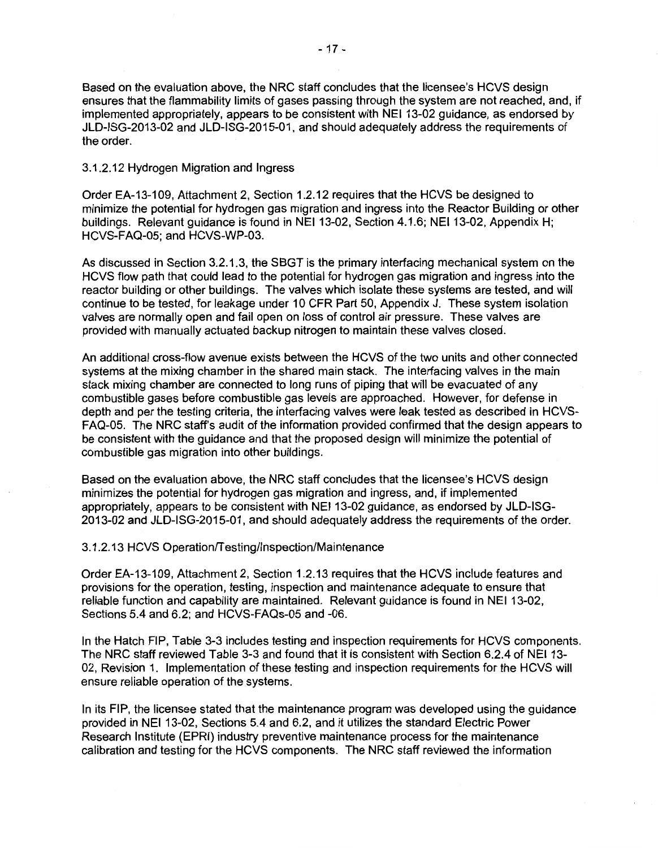Based on the evaluation above, the NRC staff concludes that the licensee's HCVS design ensures that the flammability limits of gases passing through the system are not reached, and, if implemented appropriately, appears to be consistent with NEI 13-02 guidance, as endorsed by JLD-ISG-2013-02 and JLD-ISG-2015-01, and should adequately address the requirements of the order.

3.1.2.12 Hydrogen Migration and Ingress

Order EA-13-109, Attachment 2, Section 1.2.12 requires that the HCVS be designed to minimize the potential for hydrogen gas migration and ingress into the Reactor Building or other buildings. Relevant guidance is found in NEI 13-02, Section 4.1.6; NEI 13-02, Appendix H; HCVS-FAQ-05; and HCVS-WP-03.

As discussed in Section 3.2.1.3, the SBGT is the primary interfacing mechanical system on the HCVS flow path that could lead to the potential for hydrogen gas migration and ingress into the reactor building or other buildings. The valves which isolate these systems are tested, and will continue to be tested, for leakage under 10 CFR Part 50, Appendix J. These system isolation valves are normally open and fail open on loss of control air pressure. These valves are provided with manually actuated backup nitrogen to maintain these valves closed.

An additional cross-flow avenue exists between the HCVS of the two units and other connected systems at the mixing chamber in the shared main stack. The interfacing valves in the main stack mixing chamber are connected to long runs of piping that will be evacuated of any combustible gases before combustible gas levels are approached. However, for defense in depth and per the testing criteria, the interfacing valves were leak tested as described in HCVS-FAQ-05. The NRC staff's audit of the information provided confirmed that the design appears to be consistent with the guidance and that the proposed design will minimize the potential of combustible gas migration into other buildings.

Based on the evaluation above, the NRC staff concludes that the licensee's HCVS design minimizes the potential for hydrogen gas migration and ingress, and, if implemented appropriately, appears to be consistent with NEI 13-02 guidance, as endorsed by JLD-ISG-2013-02 and JLD-ISG-2015-01, and should adequately address the requirements of the order.

3.1.2.13 HCVS Operation/Testing/Inspection/Maintenance

Order EA-13-109, Attachment 2, Section 1.2.13 requires that the HCVS include features and provisions for the operation, testing, inspection and maintenance adequate to ensure that reliable function and capability are maintained. Relevant guidance is found in NEI 13-02, Sections 5.4 and 6.2; and HCVS-FAQs-05 and -06.

In the Hatch FIP, Table 3-3 includes testing and inspection requirements for HCVS components. The NRC staff reviewed Table 3-3 and found that it is consistent with Section 6.2.4 of NEI 13- 02, Revision 1. Implementation of these testing and inspection requirements for the HCVS will ensure reliable operation of the systems.

In its FIP, the licensee stated that the maintenance program was developed using the guidance provided in NEI 13-02, Sections 5.4 and 6.2, and it utilizes the standard Electric Power Research Institute (EPRI) industry preventive maintenance process for the maintenance calibration and testing for the HCVS components. The NRC staff reviewed the information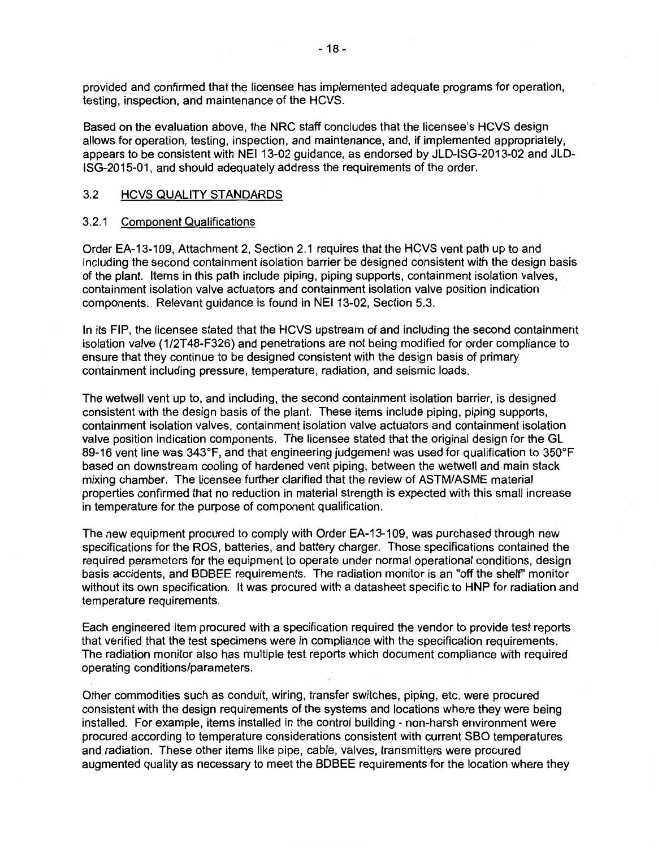provided and confirmed that the licensee has implemented adequate programs for operation, testing, inspection, and maintenance of the HCVS.

Based on the evaluation above, the NRC staff concludes that the licensee's HCVS design allows for operation, testing, inspection, and maintenance, and, if implemented appropriately, appears to be consistent with NEI 13-02 guidance, as endorsed by JLD-ISG-2013-02 and JLD-ISG-2015-01, and should adequately address the requirements of the order.

### 3.2 HCVS QUALITY STANDARDS

#### 3.2.1 Component Qualifications

Order EA-13-109, Attachment 2, Section 2.1 requires that the HCVS vent path up to and including the second containment isolation barrier be designed consistent with the design basis of the plant. Items in this path include piping, piping supports, containment isolation valves, containment isolation valve actuators and containment isolation valve position indication components. Relevant guidance is found in NEI 13-02, Section 5.3.

In its FIP, the licensee stated that the HCVS upstream of and including the second containment isolation valve (1/2T48-F326) and penetrations are not being modified for order compliance to ensure that they continue to be designed consistent with the design basis of primary containment including pressure, temperature, radiation, and seismic loads.

The wetwell vent up to, and including, the second containment isolation barrier, is designed consistent with the design basis of the plant. These items include piping, piping supports, containment isolation valves, containment isolation valve actuators and containment isolation valve position indication components. The licensee stated that the original design for the GL 89-16 vent line was 343°F, and that engineering judgement was used for qualification to 350°F based on downstream cooling of hardened vent piping, between the wetwell and main stack mixing chamber. The licensee further clarified that the review of ASTM/ASME material properties confirmed that no reduction in material strength is expected with this small increase in temperature for the purpose of component qualification.

The new equipment procured to comply with Order EA-13-109, was purchased through new specifications for the ROS, batteries, and battery charger. Those specifications contained the required parameters for the equipment to operate under normal operational conditions, design basis accidents, and BDBEE requirements. The radiation monitor is an "off the shelf' monitor without its own specification. It was procured with a datasheet specific to HNP for radiation and temperature requirements.

Each engineered item procured with a specification required the vendor to provide test reports that verified that the test specimens were in compliance with the specification requirements. The radiation monitor also has multiple test reports which document compliance with required operating conditions/parameters.

Other commodities such as conduit, wiring, transfer switches, piping, etc. were procured consistent with the design requirements of the systems and locations where they were being installed. For example, items installed in the control building - non-harsh environment were procured according to temperature considerations consistent with current SBO temperatures and radiation. These other items like pipe, cable, valves, transmitters were procured augmented quality as necessary to meet the BDBEE requirements for the location where they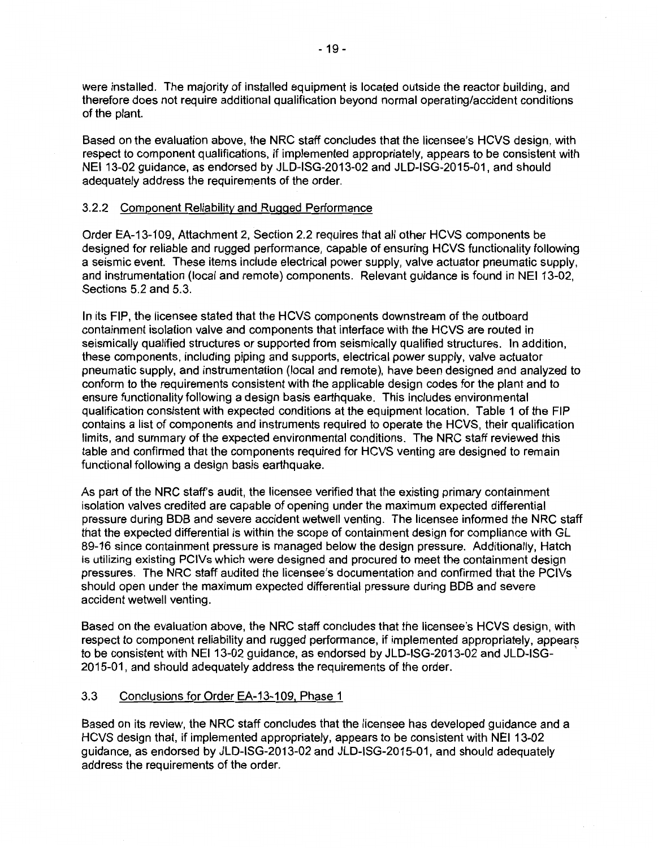were installed. The majority of installed equipment is located outside the reactor building, and therefore does not require additional qualification beyond normal operating/accident conditions of the plant.

Based on the evaluation above, the NRC staff concludes that the licensee's HCVS design, with respect to component qualifications, if implemented appropriately, appears to be consistent with NEI 13-02 guidance, as endorsed by JLD-ISG-2013-02 and JLD-ISG-2015-01, and should adequately address the requirements of the order.

### 3.2.2 Component Reliability and Rugged Performance

Order EA-13-109, Attachment 2, Section 2.2 requires that all other HCVS components be designed for reliable and rugged performance, capable of ensuring HCVS functionality following a seismic event. These items include electrical power supply, valve actuator pneumatic supply, and instrumentation (local and remote) components. Relevant guidance is found in NEI 13-02, Sections 5.2 and 5.3.

In its FIP, the licensee stated that the HCVS components downstream of the outboard containment isolation valve and components that interface with the HCVS are routed in seismically qualified structures or supported from seismically qualified structures. In addition, these components, including piping and supports, electrical power supply, valve actuator pneumatic supply, and instrumentation (local and remote), have been designed and analyzed to conform to the requirements consistent with the applicable design codes for the plant and to ensure functionality following a design basis earthquake. This includes environmental qualification consistent with expected conditions at the equipment location. Table 1 of the FIP contains a list of components and instruments required to operate the HCVS, their qualification limits, and summary of the expected environmental conditions. The NRC staff reviewed this table and confirmed that the components required for HCVS venting are designed to remain functional following a design basis earthquake.

As part of the NRC staff's audit, the licensee verified that the existing primary containment isolation valves credited are capable of opening under the maximum expected differential pressure during BDB and severe accident wetwell venting. The licensee informed the NRC staff that the expected differential is within the scope of containment design for compliance with GL 89-16 since containment pressure is managed below the design pressure. Additionally, Hatch is utilizing existing PCIVs which were designed and procured to meet the containment design pressures. The NRC staff audited the licensee's documentation and confirmed that the PCIVs should open under the maximum expected differential pressure during BDB and severe accident wetwell venting.

Based on the evaluation above, the NRC staff concludes that the licensee's HCVS design, with respect to component reliability and rugged performance, if implemented appropriately, appears to be consistent with NEI 13-02 guidance, as endorsed by JLD-ISG-2013-02 and JLD-ISG- · 2015-01, and should adequately address the requirements of the order.

## 3.3 Conclusions for Order EA-13-109, Phase 1

Based on its review, the NRC staff concludes that the licensee has developed guidance and a HCVS design that, if implemented appropriately, appears to be consistent with NEI 13-02 guidance, as endorsed by JLD-ISG-2013-02 and JLD-ISG-2015-01, and should adequately address the requirements of the order.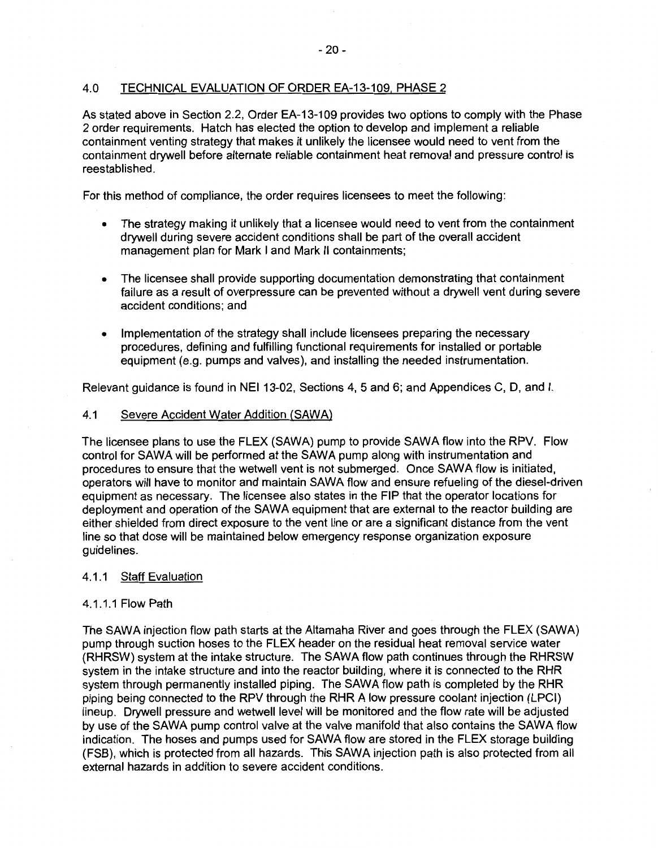# 4.0 TECHNICAL EVALUATION OF ORDER EA-13-109, PHASE 2

As stated above in Section 2.2, Order EA-13-109 provides two options to comply with the Phase 2 order requirements. Hatch has elected the option to develop and implement a reliable containment venting strategy that makes it unlikely the licensee would need to vent from the containment drywell before alternate reliable containment heat removal and pressure control is reestablished.

For this method of compliance, the order requires licensees to meet the following:

- The strategy making it unlikely that a licensee would need to vent from the containment drywell during severe accident conditions shall be part of the overall accident management plan for Mark I and Mark II containments;
- The licensee shall provide supporting documentation demonstrating that containment failure as a result of overpressure can be prevented without a drywell vent during severe accident conditions; and
- Implementation of the strategy shall include licensees preparing the necessary procedures, defining and fulfilling functional requirements for installed or portable equipment (e.g. pumps and valves), and installing the needed instrumentation.

Relevant guidance is found in NEI 13-02, Sections 4, 5 and 6; and Appendices C, D, and I.

#### 4.1 Severe Accident Water Addition (SAWA)

The licensee plans to use the FLEX (SAWA) pump to provide SAWA flow into the RPV. Flow control for SAWA will be performed at the SAWA pump along with instrumentation and procedures to ensure that the wetwell vent is not submerged. Once SAWA flow is initiated, operators will have to monitor and maintain SAWA flow and ensure refueling of the diesel-driven equipment as necessary. The licensee also states in the FIP that the operator locations for deployment and operation of the **SAWA** equipment that are external to the reactor building are either shielded from direct exposure to the vent line or are a significant distance from the vent line so that dose will be maintained below emergency response organization exposure guidelines.

### 4.1.1 Staff Evaluation

### 4.1.1.1 Flow Path

The SAWA injection flow path starts at the Altamaha River and goes through the FLEX (SAWA) pump through suction hoses to the FLEX header on the residual heat removal service water (RHRSW) system at the intake structure. The SAWA flow path continues through the RHRSW system in the intake structure and into the reactor building, where it is connected to the RHR system through permanently installed piping. The SAWA flow path is completed by the RHR piping being connected to the RPV through the RHR A low pressure coolant injection (LPCI) lineup. Drywell pressure and wetwell level will be monitored and the flow rate will be adjusted by use of the SAWA pump control valve at the valve manifold that also contains the SAWA flow indication. The hoses and pumps used for SAWA flow are stored in the FLEX storage building (FSB); which is protected from all hazards. This SAWA injection path is also protected from all external hazards in addition to severe accident conditions.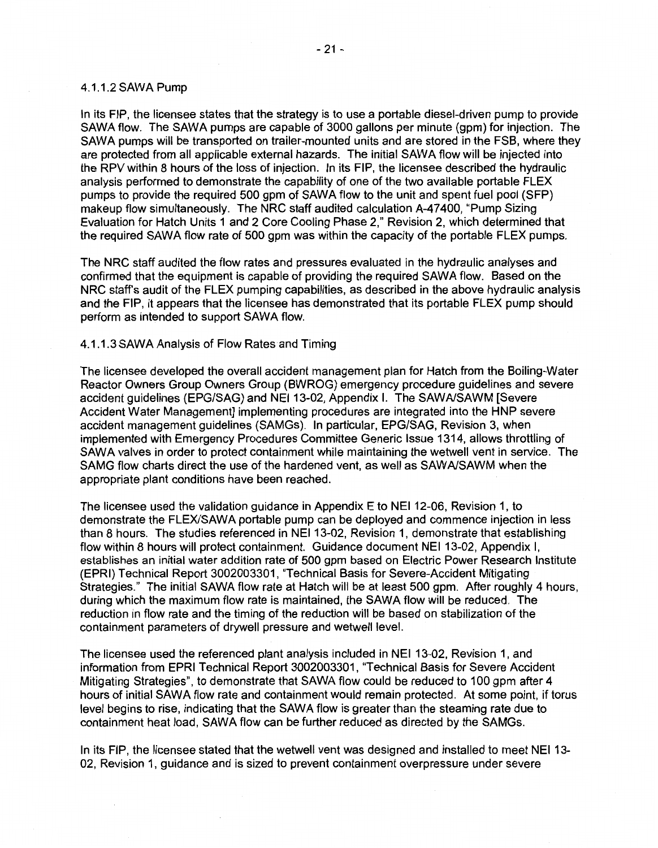#### 4.1.1.2 SAWA Pump

In its FIP, the licensee states that the strategy is to use a portable diesel-driven pump to provide SAWA flow. The SAWA pumps are capable of 3000 gallons per minute (gpm) for injection. The SAWA pumps will be transported on trailer-mounted units and are stored in the FSB, where they are protected from all applicable external hazards. The initial SAWA flow will be injected into the RPV within 8 hours of the loss of injection. In its FIP, the licensee described the hydraulic analysis performed to demonstrate the capability of one of the two available portable FLEX pumps to provide the required 500 gpm of SAWA flow to the unit and spent fuel pool (SFP) makeup flow simultaneously. The NRC staff audited calculation A-47400, "Pump Sizing Evaluation for Hatch Units 1 and 2 Core Cooling Phase 2," Revision 2, which determined that the required SAWA flow rate of 500 gpm was within the capacity of the portable FLEX pumps.

The NRC staff audited the flow rates and pressures evaluated in the hydraulic analyses and confirmed that the equipment is capable of providing the required SAWA flow. Based on the NRC staffs audit of the FLEX pumping capabilities, as described in the above hydraulic analysis and the FIP, it appears that the licensee has demonstrated that its portable FLEX pump should perform as intended to support SAWA flow.

#### 4.1.1.3 SAWA Analysis of Flow Rates and Timing

The licensee developed the overall accident management plan for Hatch from the Boiling-Water Reactor Owners Group Owners Group (BWROG) emergency procedure guidelines and severe accident guidelines (EPG/SAG) and NEI 13-02, Appendix I. The SAWA/SAWM [Severe Accident Water Management] implementing procedures are integrated into the HNP severe accident management guidelines (SAMGs). In particular, EPG/SAG, Revision 3, when implemented with Emergency Procedures Committee Generic Issue 1314, allows throttling of SAWA valves in order to protect containment while maintaining the wetwell vent in service. The SAMG flow charts direct the use of the hardened vent, as well as SAW A/SAWM when the appropriate plant conditions have been reached.

The licensee used the validation guidance in Appendix E to NEI 12-06, Revision 1, to demonstrate the FLEX/SAWA portable pump can be deployed and commence injection in less than 8 hours. The studies referenced in NEI 13-02, Revision 1, demonstrate that establishing flow within 8 hours will protect containment. Guidance document NEI 13-02, Appendix I, establishes an initial water addition rate of 500 gpm based on Electric Power Research Institute (EPRI) Technical Report 3002003301, "Technical Basis for Severe-Accident Mitigating Strategies." The initial SAWA flow rate at Hatch will be at least 500 gpm. After roughly 4 hours, during which the maximum flow rate is maintained, the SAWA flow will be reduced. The reduction in flow rate and the timing of the reduction will be based on stabilization of the containment parameters of drywell pressure and wetwell level.

The licensee used the referenced plant analysis included in NEI 13-02, Revision 1, and information from EPRI Technical Report 3002003301, "Technical Basis for Severe Accident Mitigating Strategies", to demonstrate that SAWA flow could be reduced to 100 gpm after 4 hours of initial SAWA flow rate and containment would remain protected. At some point, if torus level begins to rise, indicating that the SAWA flow is greater than the steaming rate due to containment heat load, SAWA flow can be further reduced as directed by the SAMGs.

In its FIP, the licensee stated that the wetwell vent was designed and installed to meet NEI 13- 02, Revision 1, guidance and is sized to prevent containment overpressure under severe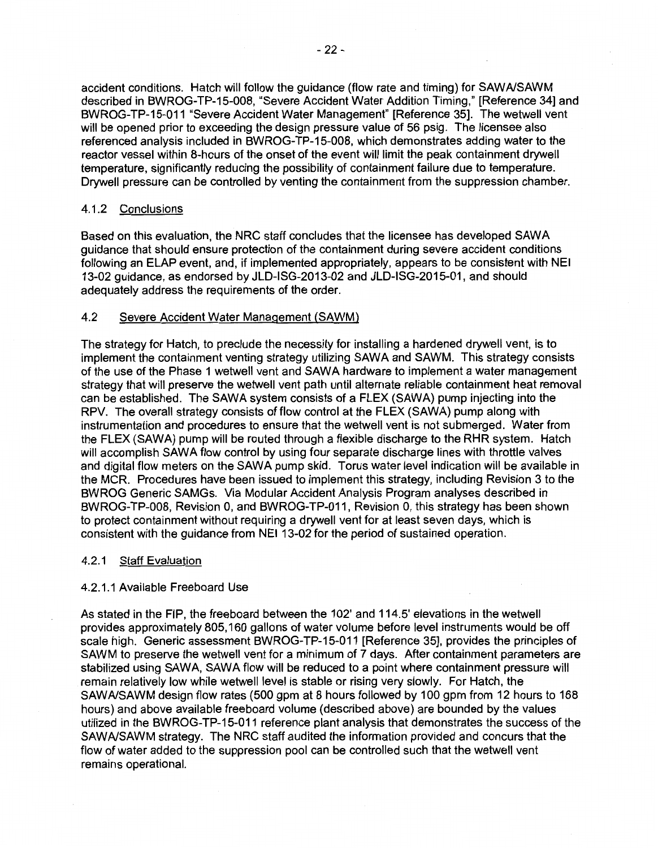accident conditions. Hatch will follow the guidance (flow rate and timing) for SAWA/SAWM described in BWROG-TP-15-008, "Severe Accident Water Addition Timing," [Reference 34] and BWROG-TP-15-011 "Severe Accident Water Management" [Reference 35]. The wetwell vent will be opened prior to exceeding the design pressure value of 56 psig. The licensee also referenced analysis included in BWROG-TP-15-008, which demonstrates adding water to the reactor vessel within 8-hours of the onset of the event will limit the peak containment drywall temperature, significantly reducing the possibility of containment failure due to temperature. Drywall pressure can be controlled by venting the containment from the suppression chamber.

# 4.1.2 Conclusions

Based on this evaluation, the NRC staff concludes that the licensee has developed SAWA guidance that should ensure protection of the containment during severe accident conditions following an ELAP event, and, if implemented appropriately, appears to be consistent with NEI 13-02 guidance, as endorsed by JLD-ISG-2013-02 and JLD-ISG-2015-01, and should adequately address the requirements of the order.

# 4.2 Severe Accident Water Management (SAWM)

The strategy for Hatch, to preclude the necessity for installing a hardened drywall vent, is to implement the containment venting strategy utilizing SAWA and SAWM. This strategy consists of the use of the Phase 1 wetwell vent and SAWA hardware to implement a water management strategy that will preserve the wetwell vent path until alternate reliable containment heat removal can be established. The SAWA system consists of a FLEX (SAWA) pump injecting into the RPV. The overall strategy consists of flow control at the FLEX (SAWA) pump along with instrumentation and procedures to ensure that the wetwell vent is not submerged. Water from the FLEX (SAWA) pump will be routed through a flexible discharge to the RHR system. Hatch will accomplish SAWA flow control by using four separate discharge lines with throttle valves and digital flow meters on the SAWA pump skid. Torus water level indication will be available in the MCR. Procedures have been issued to implement this strategy, including Revision 3 to the BWROG Generic SAMGs. Via Modular Accident Analysis Program analyses described in BWROG-TP-008, Revision 0, and BWROG-TP-011, Revision 0, this strategy has been shown to protect containment without requiring a drywall vent for at least seven days, which is consistent with the guidance from NEI 13-02 for the period of sustained operation.

# 4.2.1 Staff Evaluation

# 4.2.1.1 Available Freeboard Use

As stated in the FIP, the freeboard between the 102' and 114.5' elevations in the wetwell provides approximately 805, 160 gallons of water volume before level instruments would be off scale high. Generic assessment BWROG-TP-15-011 [Reference 35], provides the principles of SAWM to preserve the wetwell vent for a minimum of 7 days. After containment parameters are stabilized using SAWA, SAWA flow will be reduced to a point where containment pressure will remain relatively low while wetwell level is stable or rising very slowly. For Hatch, the SAWA/SAWM design flow rates (500 gpm at 8 hours followed by 100 gpm from 12 hours to 168 hours) and above available freeboard volume (described above) are bounded by the values utilized in the BWROG-TP-15-011 reference plant analysis that demonstrates the success of the SAWA/SAWM strategy. The NRC staff audited the information provided and concurs that the flow of water added to the suppression pool can be controlled such that the wetwell vent remains operational.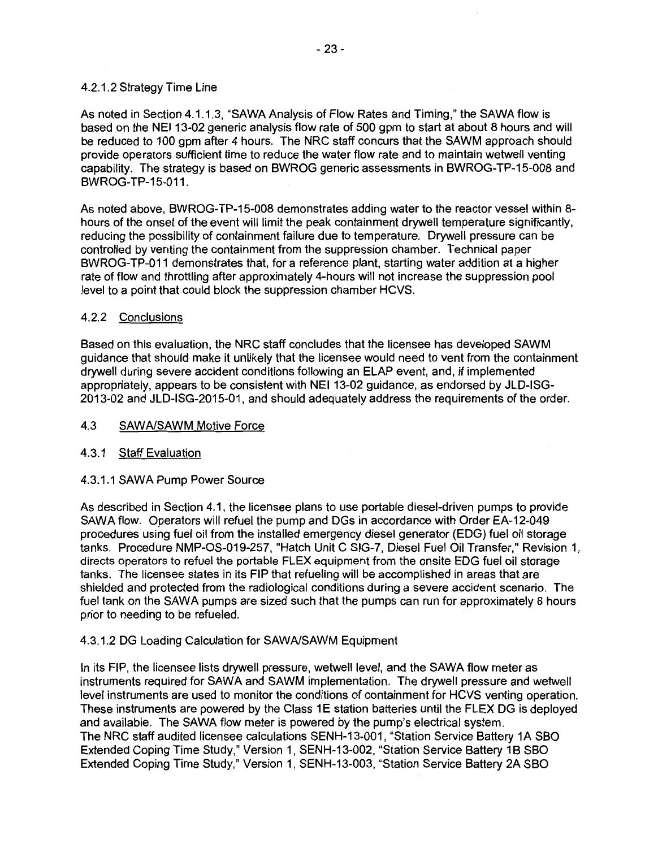## 4.2.1.2 Strategy Time Line

As noted in Section 4.1.1.3, "SAWA Analysis of Flow Rates and Timing," the SAWA flow is based on the NEI 13-02 generic analysis flow rate of 500 gpm to start at about 8 hours and will be reduced to 100 gpm after 4 hours. The NRC staff concurs that the SAWM approach should provide operators sufficient time to reduce the water flow rate and to maintain wetwell venting capability. The strategy is based on BWROG generic assessments in BWROG-TP-15-008 and BWROG-TP-15-011.

As noted above, BWROG-TP-15-008 demonstrates adding water to the reactor vessel within 8 hours of the onset of the event will limit the peak containment drywell temperature significantly, reducing the possibility of containment failure due to temperature. Drywell pressure can be controlled by venting the containment from the suppression chamber. Technical paper BWROG-TP-011 demonstrates that, for a reference plant, starting water addition at a higher rate of flow and throttling after approximately 4-hours will not increase the suppression pool level to a point that could block the suppression chamber HCVS.

# 4.2.2 Conclusions

Based on this evaluation, the NRC staff concludes that the licensee has developed SAWM guidance that should make it unlikely that the licensee would need to vent from the containment drywell during severe accident conditions following an ELAP event, and, if implemented appropriately, appears to be consistent with NEI 13-02 guidance, as endorsed by JLD-ISG-2013-02 and JLD-ISG-2015-01, and should adequately address the requirements of the order.

## 4.3 SAWA/SAWM Motive Force

# 4.3.1 Staff Evaluation

# 4.3.1.1 SAWA Pump Power Source

As described in Section 4.1, the licensee plans to use portable diesel-driven pumps to provide SAWA flow. Operators will refuel the pump and DGs in accordance with Order EA-12-049 procedures using fuel oil from the installed emergency diesel generator (EOG) fuel oil storage tanks. Procedure NMP-OS-019-257, "Hatch Unit C SIG-7, Diesel Fuel Oil Transfer," Revision 1, directs operators to refuel the portable FLEX equipment from the onsite EOG fuel oil storage tanks. The licensee states in its FIP that refueling will be accomplished in areas that are shielded and protected from the radiological conditions during a severe accident scenario. The fuel tank on the SAWA pumps are sized such that the pumps can run for approximately 8 hours prior to needing to be refueled.

### 4.3.1.2 DG Loading Calculation for SAWA/SAWM Equipment

In its FIP, the licensee lists drywell pressure, wetwell level, and the SAWA flow meter as instruments required for SAWA and SAWM implementation. The drywell pressure and wetwell level instruments are used to monitor the conditions of containment for HCVS venting operation. These instruments are powered by the Class 1E station batteries until the FLEX DG is deployed and available. The SAWA flow meter is powered by the pump's electrical system. The NRC staff audited licensee calculations SENH-13-001, "Station Service Battery 1A SBO Extended Coping Time Study," Version 1, SENH-13-002, "Station Service Battery 1B SBO Extended Coping Time Study," Version 1, SENH-13-003, "Station Service Battery 2A SBO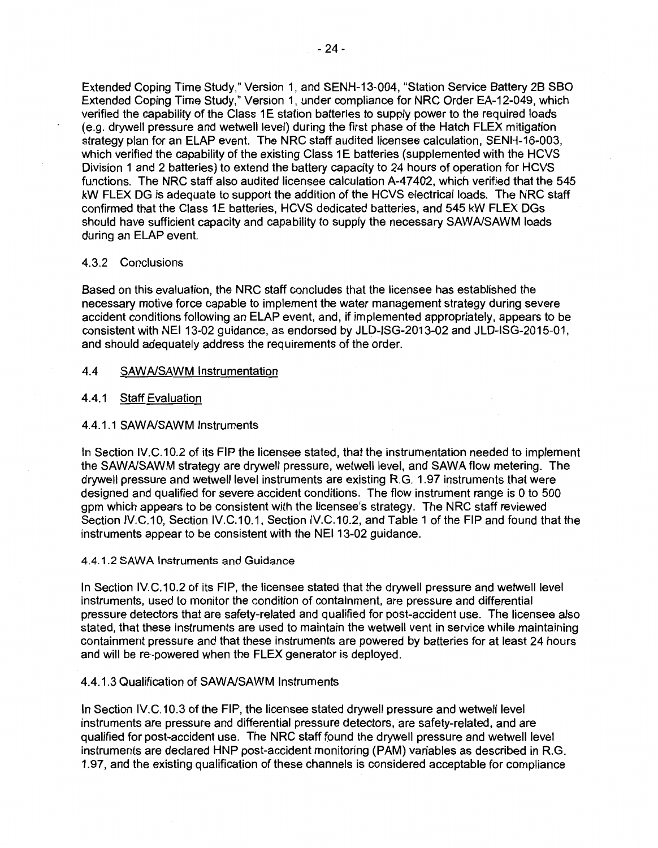Extended Coping Time Study," Version 1, and SENH-13-004, "Station Service Battery 2B SBO Extended Coping Time Study," Version 1, under compliance for NRC Order EA-12-049, which verified the capability of the Class 1E station batteries to supply power to the required loads (e.g. drywall pressure and wetwell level) during the first phase of the Hatch FLEX mitigation strategy plan for an ELAP event. The NRC staff audited licensee calculation, SENH-16-003, which verified the capability of the existing Class 1E batteries (supplemented with the HCVS Division 1 and 2 batteries) to extend the battery capacity to 24 hours of operation for HCVS functions. The NRC staff also audited licensee calculation A-47402, which verified that the 545 kW FLEX DG is adequate to support the addition of the HCVS electrical loads. The NRC staff confirmed that the Class 1E batteries, HCVS dedicated batteries, and 545 kW FLEX DGs should have sufficient capacity and capability to supply the necessary SAWA/SAWM loads during an ELAP event.

### 4.3.2 Conclusions

Based on this evaluation, the NRC staff concludes that the licensee has established the necessary motive force capable to implement the water management strategy during severe accident conditions following an ELAP event, and, if implemented appropriately, appears to be consistent with NEI 13-02 guidance, as endorsed by JLD-ISG-2013-02 and JLD-ISG-2015-01, and should adequately address the requirements of the order.

## 4.4 SAWA/SAWM Instrumentation

## 4.4.1 Staff Evaluation

## 4.4.1.1 SAWA/SAWM Instruments

In Section IV.C.10.2 of its FIP the licensee stated, that the instrumentation needed to implement the SAWA/SAWM strategy are drywall pressure, wetwell level, and SAWA flow metering. The drywall pressure and wetwell level instruments are existing R.G. 1.97 instruments that were designed and qualified for severe accident conditions. The flow instrument range is O to 500 gpm which appears to be consistent with the licensee's strategy. The NRC staff reviewed Section IV.C.10, Section IV.C.10.1, Section IV.C.10.2, and Table 1 of the FIP and found that the instruments appear to be consistent with the NEI 13-02 guidance.

### 4.4.1.2 **SAWA** Instruments and Guidance

In Section IV.C.10.2 of its FIP, the licensee stated that the drywell pressure and wetwell level instruments, used to monitor the condition of containment, are pressure and differential pressure detectors that are safety-related and qualified for post-accident use. The licensee also stated, that these instruments are used to maintain the wetwell vent in service while maintaining containment pressure and that these instruments are powered by batteries for at least 24 hours and will be re-powered when the FLEX generator is deployed.

### 4.4.1.3 Qualification of SAWA/SAWM Instruments

In Section IV.C.10.3 of the FIP, the licensee stated drywall pressure and wetwell level instruments are pressure and differential pressure detectors, are safety-related, and are qualified for post-accident use. The NRC staff found the drywall pressure and wetwell level instruments are declared HNP post-accident monitoring (PAM) variables as described in R.G. 1.97, and the existing qualification of these channels is considered acceptable for compliance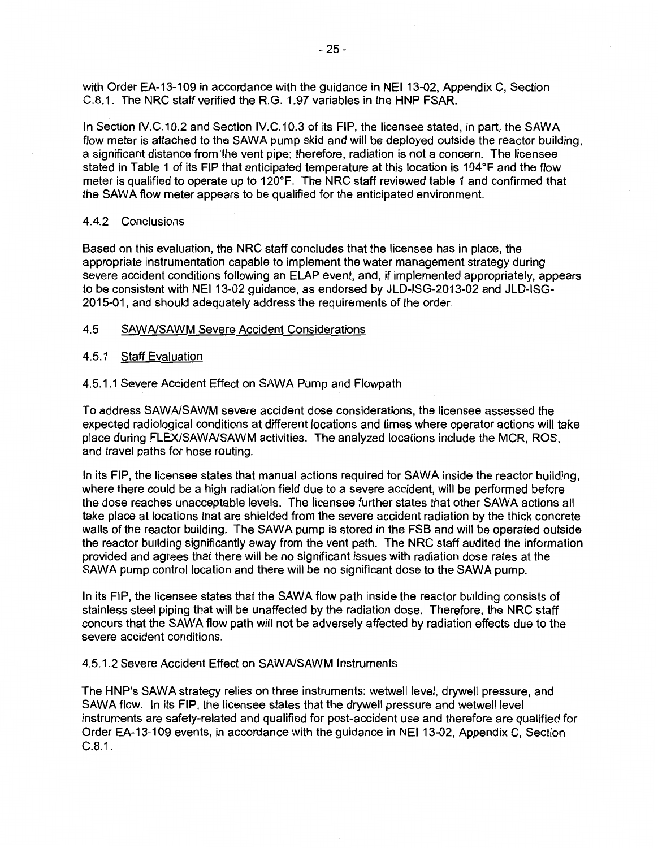with Order EA-13-109 in accordance with the guidance in NEI 13-02, Appendix C, Section C.8.1. The NRC staff verified the R.G. 1.97 variables in the HNP FSAR.

In Section IV.C.10.2 and Section IV.C.10.3 of its FIP, the licensee stated, in part, the SAWA flow meter is attached to the SAWA pump skid and will be deployed outside the reactor building, a significant distance from the vent pipe; therefore, radiation is not a concern. The licensee stated in Table 1 of its FIP that anticipated temperature at this location is 104°F and the flow meter is qualified to operate up to 120°F. The NRC staff reviewed table 1 and confirmed that the SAWA flow meter appears to be qualified for the anticipated environment.

#### 4.4.2 Conclusions

Based on this evaluation, the NRC staff concludes that the licensee has in place, the appropriate instrumentation capable to implement the water management strategy during severe accident conditions following an ELAP event, and, if implemented appropriately, appears to be consistent with NEI 13-02 guidance, as endorsed by JLD-ISG-2013-02 and JLD-ISG-2015-01, and should adequately address the requirements of the order.

#### 4.5 SAW A/SAWM Severe Accident Considerations

#### 4.5.1 Staff Evaluation

#### 4.5.1.1 Severe Accident Effect on SAWA Pump and Flowpath

To address SAWA/SAWM severe accident dose considerations, the licensee assessed the expected radiological conditions at different locations and times where operator actions will take place during FLEX/SAWA/SAWM activities. The analyzed locations include the MCR, ROS, and travel paths for hose routing.

In its FIP, the licensee states that manual actions required for SAWA inside the reactor building, where there could be a high radiation field due to a severe accident, will be performed before the dose reaches unacceptable levels. The licensee further states that other SAWA actions all take place at locations that are shielded from the severe accident radiation by the thick concrete walls of the reactor building. The SAWA pump is stored in the FSB and will be operated outside the reactor building significantly away from the vent path. The NRC staff audited the information provided and agrees that there will be no significant issues with radiation dose rates at the SAWA pump control location and there will be no significant dose to the SAWA pump.

In its FIP, the licensee states that the SAWA flow path inside the reactor building consists of stainless steel piping that will be unaffected by the radiation dose. Therefore, the NRC staff concurs that the SAWA flow path will not be adversely affected by radiation effects due to the severe accident conditions.

## 4.5.1.2 Severe Accident Effect on SAWA/SAWM Instruments

The HNP's SAWA strategy relies on three instruments: wetwell level, drywell pressure, and SAWA flow. In its FIP, the licensee states that the drywell pressure and wetwell level instruments are safety-related and qualified for post-accident use and therefore are qualified for Order EA-13-109 events, in accordance with the guidance in NEI 13-02, Appendix C, Section C.8.1.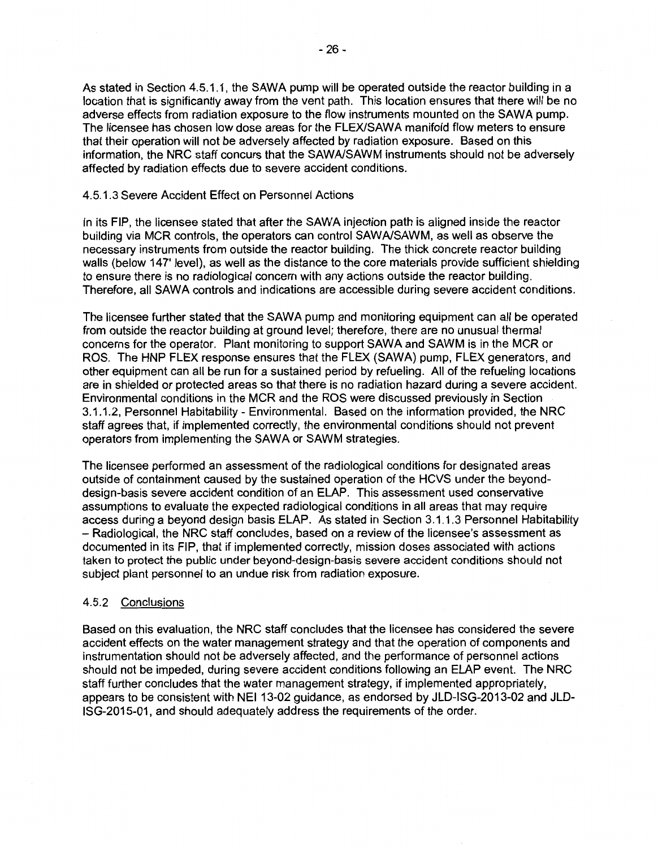As stated in Section 4.5.1.1, the SAWA pump will be operated outside the reactor building in a location that is significantly away from the vent path. This location ensures that there will be no adverse effects from radiation exposure to the flow instruments mounted on the SAWA pump. The licensee has chosen low dose areas for the FLEX/SAWA manifold flow meters to ensure that their operation will not be adversely affected by radiation exposure. Based on this information, the NRC staff concurs that the SAWA/SAWM instruments should not be adversely affected by radiation effects due to severe accident conditions.

### 4.5.1.3 Severe Accident Effect on Personnel Actions

In its FIP, the licensee stated that after the SAWA injection path is aligned inside the reactor building via MCR controls, the operators can control SAWA/SAWM, as well as observe the necessary instruments from outside the reactor building. The thick concrete reactor building walls (below 147' level), as well as the distance to the core materials provide sufficient shielding to ensure there is no radiological concern with any actions outside the reactor building. Therefore, all SAWA controls and indications are accessible during severe accident conditions.

The licensee further stated that the SAWA pump and monitoring equipment can all be operated from outside the reactor building at ground level; therefore, there are no unusual thermal concerns for the operator. Plant monitoring to support SAWA and SAWM is in the MCR or ROS. The HNP FLEX response ensures that the FLEX (SAWA) pump, FLEX generators, and other equipment can all be run for a sustained period by refueling. All of the refueling locations are in shielded or protected areas so that there is no radiation hazard during a severe accident. Environmental conditions in the MCR and the ROS were discussed previously in Section 3.1.1.2, Personnel Habitability - Environmental. Based on the information provided, the NRC staff agrees that, if implemented correctly, the environmental conditions should not prevent operators from implementing the SAWA or SAWM strategies.

The licensee performed an assessment of the radiological conditions for designated areas outside of containment caused by the sustained operation of the HCVS under the beyonddesign-basis severe accident condition of an ELAP. This assessment used conservative assumptions to evaluate the expected radiological conditions in all areas that may require access during a beyond design basis ELAP. As stated in Section 3.1.1.3 Personnel Habitability - Radiological, the NRC staff concludes, based on a review of the licensee's assessment as documented in its FIP, that if implemented correctly, mission doses associated with actions taken to protect the public under beyond-design-basis severe accident conditions should not subject plant personnel to an undue risk from radiation exposure.

### 4.5.2 Conclusions

Based on this evaluation, the NRC staff concludes that the licensee has considered the severe accident effects on the water management strategy and that the operation of components and instrumentation should not be adversely affected, and the performance of personnel actions should not be impeded, during severe accident conditions following an ELAP event. The NRC staff further concludes that the water management strategy, if implemented appropriately, appears to be consistent with NEI 13-02 guidance, as endorsed by JLD-ISG-2013-02 and JLD-ISG-2015-01, and should adequately address the requirements of the order.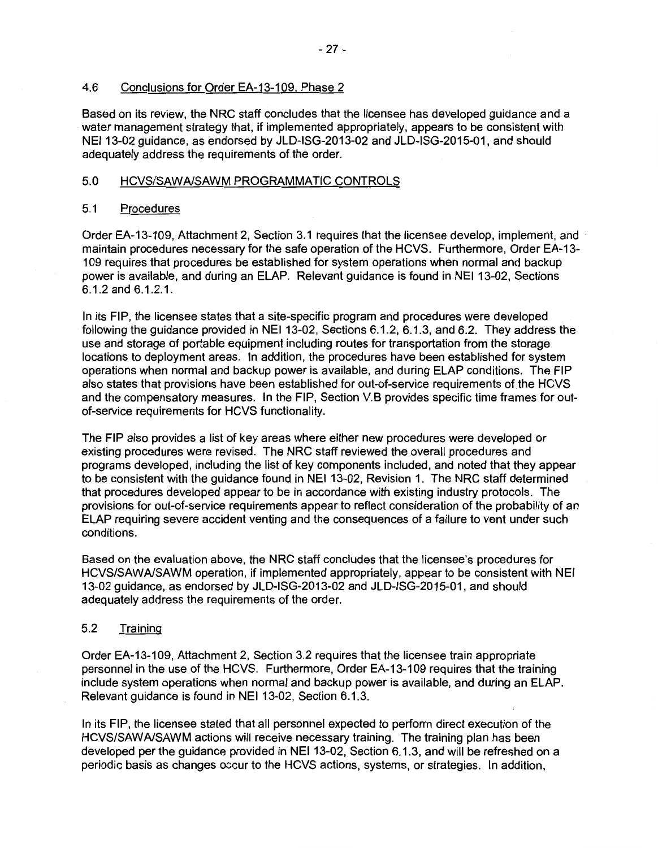## 4.6 Conclusions for Order EA-13-109, Phase 2

Based on its review, the NRC staff concludes that the licensee has developed guidance and a water management strategy that, if implemented appropriately, appears to be consistent with NEI 13-02 guidance, as endorsed by JLD-ISG-2013-02 and JLD-ISG-2015-01, and should adequately address the requirements of the order.

#### 5.0 HCVS/SAWA/SAWM PROGRAMMATIC CONTROLS

#### 5.1 Procedures

Order EA-13-109, Attachment 2, Section 3.1 requires that the licensee develop, implement, and · maintain procedures necessary for the safe operation of the HCVS. Furthermore, Order EA-13- 109 requires that procedures be established for system operations when normal and backup power is available, and during an ELAP. Relevant guidance is found in NEI 13-02, Sections 6.1.2 and 6.1.2.1.

In its FIP, the licensee states that a site-specific program and procedures were developed following the guidance provided in NEI 13-02, Sections 6.1.2, 6.1.3, and 6.2. They address the use and storage of portable equipment including routes for transportation from the storage locations to deployment areas. In addition, the procedures have been established for system operations when normal and backup power is available, and during ELAP conditions. The FIP also states that provisions have been established for out-of-service requirements of the HCVS and the compensatory measures. In the FIP, Section V.B provides specific time frames for outof-service requirements for HCVS functionality.

The FIP also provides a list of key areas where either new procedures were developed or existing procedures were revised. The NRC staff reviewed the overall procedures and programs developed, including the list of key components included, and noted that they appear to be consistent with the guidance found in NEI 13-02, Revision 1. The NRC staff determined that procedures developed appear to be in accordance with existing industry protocols. The provisions for out-of-service requirements appear to reflect consideration of the probability of an ELAP requiring severe accident venting and the consequences of a failure to vent under such conditions.

Based on the evaluation above, the NRC staff concludes that the licensee's procedures for HCVS/SAWA/SAWM operation, if implemented appropriately, appear to be consistent with NEI 13-02 guidance, as endorsed by JLD-ISG-2013-02 and JLD-ISG-2015-01, and should adequately address the requirements of the order.

# 5.2 Training

Order EA-13-109, Attachment 2, Section 3.2 requires that the licensee train appropriate personnel in the use of the HCVS. Furthermore, Order EA-13-109 requires that the training include system operations when normal and backup power is available, and during an ELAP. Relevant guidance is found in NEI 13-02, Section 6.1.3.

In its FIP, the licensee stated that all personnel expected to perform direct execution of the HCVS/SAWA/SAWM actions will receive necessary training. The training plan has been developed per the guidance provided in NEI 13-02, Section 6.1.3, and will be refreshed on a periodic basis as changes occur to the HCVS actions, systems, or strategies. In addition,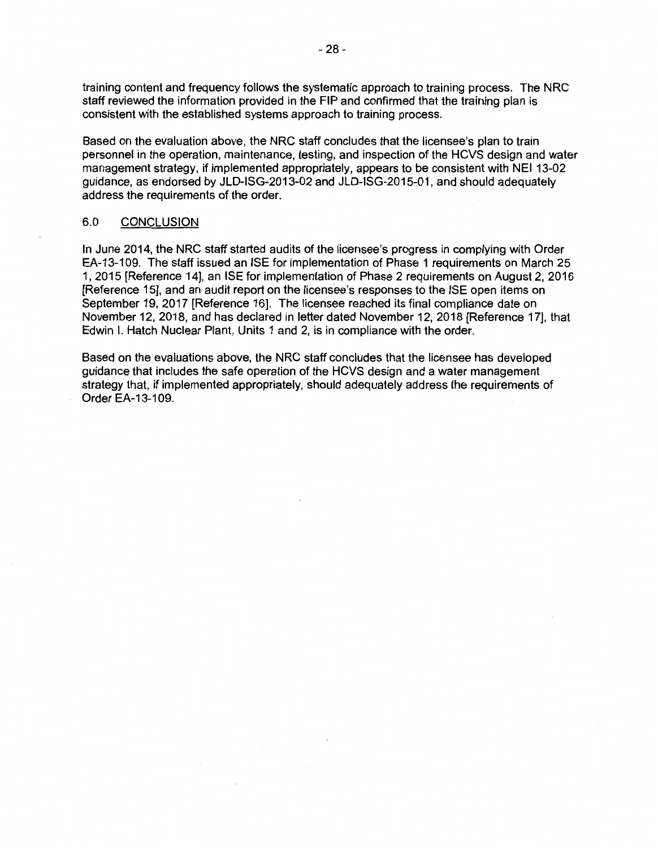training content and frequency follows the systematic approach to training process. The NRC staff reviewed the information provided in the FIP and confirmed that the training plan is consistent with the established systems approach to training process.

Based on the evaluation above, the NRC staff concludes that the licensee's plan to train personnel in the operation, maintenance, testing, and inspection of the HCVS design and water management strategy, if implemented appropriately, appears to be consistent with NEI 13-02 guidance, as endorsed by JLD-ISG-2013-02 and JLD-ISG-2015-01, and should adequately address the requirements of the order.

#### 6.0 CONCLUSION

In June 2014, the NRC staff started audits of the licensee's progress in complying with Order EA-13-109. The staff issued an ISE for implementation of Phase 1 requirements on March 25 1, 2015 [Reference 14], an ISE for implementation of Phase 2 requirements on August 2, 2016 [Reference 15], and an audit report on the licensee's responses to the ISE open items on September 19, 2017 [Reference 16]. The licensee reached its final compliance date on November 12, 2018, and has declared in letter dated November 12, 2018 [Reference 17], that Edwin I. Hatch Nuclear Plant, Units 1 and 2, is in compliance with the order.

Based on the evaluations above, the NRC staff concludes that the licensee has developed guidance that includes the safe operation of the HCVS design and a water management strategy that, if implemented appropriately, should adequately address the requirements of Order EA-13-1 09.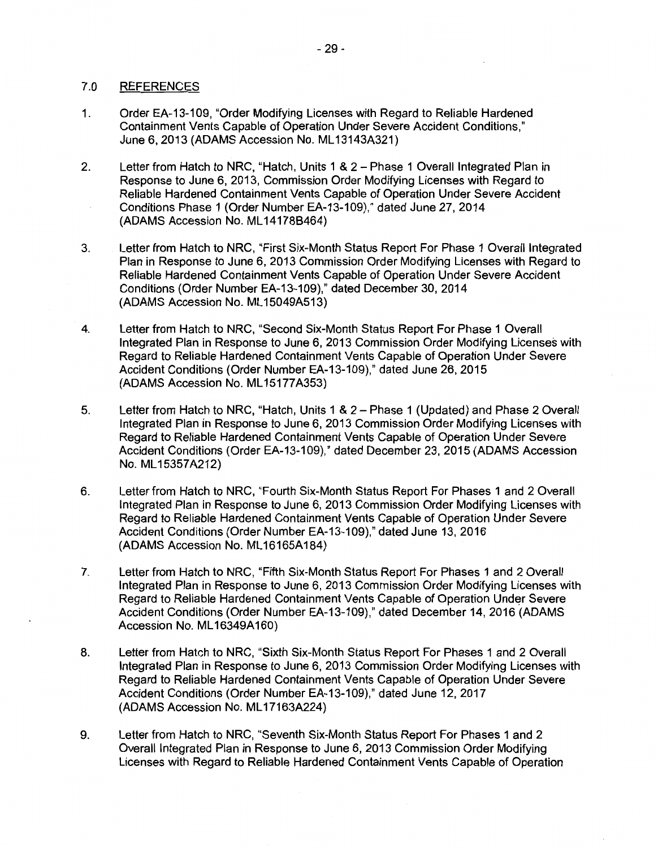### 7 .0 REFERENCES

- 1. Order EA-13-109, "Order Modifying Licenses with Regard to Reliable Hardened Containment Vents Capable of Operation Under Severe Accident Conditions," June 6, 2013 (ADAMS Accession No. ML 13143A321)
- 2. Letter from Hatch to NRC, "Hatch, Units 1 & 2 Phase 1 Overall Integrated Plan in Response to June 6, 2013, Commission Order Modifying Licenses with Regard to Reliable Hardened Containment Vents Capable of Operation Under Severe Accident Conditions Phase 1 (Order Number EA-13-109)," dated June 27, 2014 (ADAMS Accession No. ML 141788464)
- 3. Letter from Hatch to NRC, "First Six-Month Status Report For Phase 1 Overall Integrated Plan in Response to June 6, 2013 Commission Order Modifying Licenses with Regard to Reliable Hardened Containment Vents Capable of Operation Under Severe Accident Conditions (Order Number EA-13-109)," dated December 30, 2014 (ADAMS Accession No. ML 15049A513)
- 4. Letter from Hatch to NRC, "Second Six-Month Status Report For Phase 1 Overall Integrated Plan in Response to June 6, 2013 Commission Order Modifying Licenses with Regard to Reliable Hardened Containment Vents Capable of Operation Under Severe Accident Conditions (Order Number EA-13-109)," dated June 26, 2015 (ADAMS Accession No. ML 15177A353)
- 5. Letter from Hatch to NRC, "Hatch, Units 1 & 2 Phase 1 (Updated) and Phase 2 Overall Integrated Plan in Response to June 6, 2013 Commission Order Modifying Licenses with Regard to Reliable Hardened Containment Vents Capable of Operation Under Severe Accident Conditions (Order EA-13-109)," dated December 23, 2015 (ADAMS Accession No. ML 15357A212)
- 6. Letter from Hatch to NRC, "Fourth Six-Month Status Report For Phases 1 and 2 Overall Integrated Plan in Response to June 6, 2013 Commission Order Modifying Licenses with Regard to Reliable Hardened Containment Vents Capable of Operation Under Severe Accident Conditions (Order Number EA-13-109)," dated June 13, 2016 (ADAMS Accession No. ML 16165A184)
- 7. Letter from Hatch to NRC, "Fifth Six-Month Status Report For Phases 1 and 2 Overall Integrated Plan in Response to June 6, 2013 Commission Order Modifying Licenses with Regard to Reliable Hardened Containment Vents Capable of Operation Under Severe Accident Conditions (Order Number EA-13-109)," dated December 14, 2016 (ADAMS Accession No. ML 16349A160)
- 8. Letter from Hatch to NRC, "Sixth Six-Month Status Report For Phases 1 and 2 Overall Integrated Plan in Response to June 6, 2013 Commission Order Modifying Licenses with Regard to Reliable Hardened Containment Vents Capable of Operation Under Severe Accident Conditions (Order Number EA-13-109)," dated June 12, 2017 (ADAMS Accession No. ML 17163A224)
- 9. Letter from Hatch to NRC, "Seventh Six-Month Status Report For Phases 1 and 2 Overall Integrated Plan in Response to June 6, 2013 Commission Order Modifying Licenses with Regard to Reliable Hardened Containment Vents Capable of Operation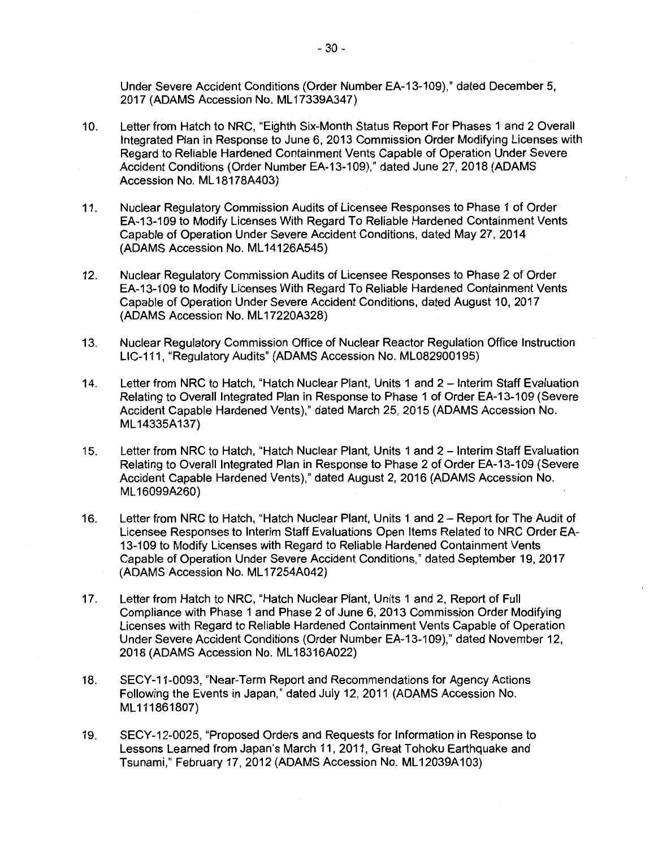Under Severe Accident Conditions (Order Number EA-13-109)," dated December 5, 2017 (ADAMS Accession No. ML 17339A347)

- 10. Letter from Hatch to **NRC,** "Eighth Six-Month Status Report For Phases 1 and 2 Overall Integrated Plan in Response to June 6, 2013 Commission Order Modifying Licenses with Regard to Reliable Hardened Containment Vents Capable of Operation Under Severe Accident Conditions (Order Number EA-13-109)," dated June 27, 2018 (ADAMS Accession No. ML 18178A403)
- 11. Nuclear Regulatory Commission Audits of Licensee Responses to Phase 1 of Order EA-13-109 to Modify Licenses With Regard To Reliable Hardened Containment Vents Capable of Operation Under Severe Accident Conditions, dated May 27, 2014 (ADAMS Accession No. ML 14126A545)
- 12. Nuclear Regulatory Commission Audits of Licensee Responses to Phase 2 of Order EA-13-109 to Modify Licenses With Regard To Reliable Hardened Containment Vents Capable of Operation Under Severe Accident Conditions, dated August 10, 2017 (ADAMS Accession No. ML 17220A328)
- 13. Nuclear Regulatory Commission Office of Nuclear Reactor Regulation Office Instruction LIC-111, "Regulatory Audits" (ADAMS Accession No. ML082900195)
- 14. Letter from NRC to Hatch, "Hatch Nuclear Plant, Units 1 and 2 Interim Staff Evaluation Relating to Overall Integrated Plan in Response to Phase 1 of Order EA-13-109 (Severe Accident Capable Hardened Vents)," dated March 25, 2015 (ADAMS Accession No. ML 14335A137)
- 15. Letter from NRC to Hatch, "Hatch Nuclear Plant, Units 1 and 2 Interim Staff Evaluation Relating to Overall Integrated Plan in Response to Phase 2 of Order EA-13-109 (Severe Accident Capable Hardened Vents)," dated August 2, 2016 (ADAMS Accession No. ML 16099A260)
- 16. Letter from NRC to Hatch, "Hatch Nuclear Plant, Units 1 and 2 Report for The Audit of Licensee Responses to Interim Staff Evaluations Open Items Related to NRC Order EA-13-109 to Modify Licenses with Regard to Reliable Hardened Containment Vents Capable of Operation Under Severe Accident Conditions," dated September 19, 2017 (ADAMS Accession No. ML 17254A042)
- 17. Letter from Hatch to NRC, "Hatch Nuclear Plant, Units 1 and 2, Report of Full Compliance with Phase 1 and Phase 2 of June 6, 2013 Commission Order Modifying Licenses with Regard to Reliable Hardened Containment Vents Capable of Operation Under Severe Accident Conditions (Order Number EA-13-109)," dated November 12, 2018 (ADAMS Accession No. ML 18316A022)
- 18. SECY-11-0093, "Near-Term Report and Recommendations for Agency Actions Following the Events in Japan," dated July 12, 2011 (ADAMS Accession No. ML111861807)
- 19. SECY-12-0025, "Proposed Orders and Requests for Information in Response to Lessons Learned from Japan's March 11, 2011, Great Tohoku Earthquake and Tsunami," February 17, 2012 (ADAMS Accession No. ML 12039A103)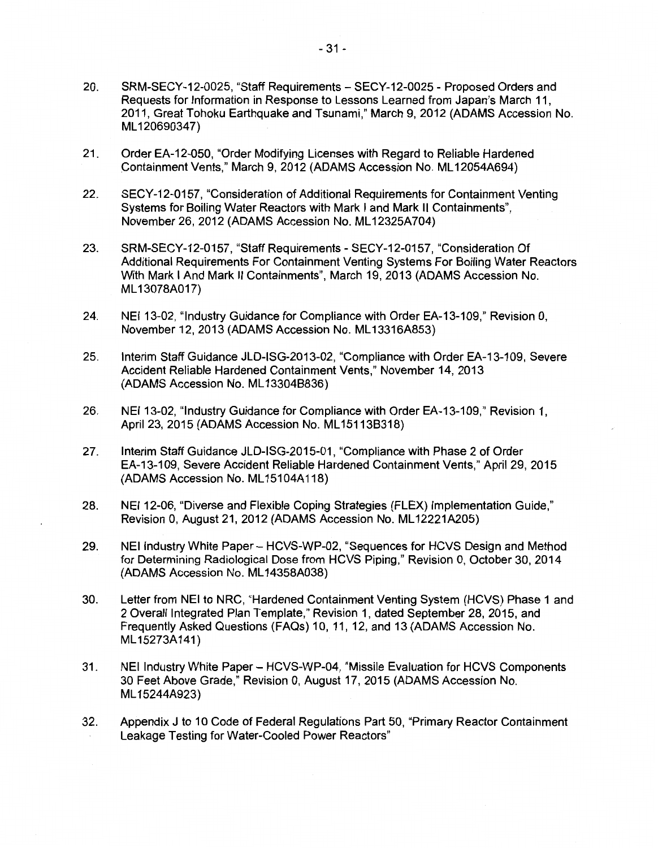- 20. SRM-SECY-12-0025, "Staff Requirements SECY-12-0025 Proposed Orders and Requests for Information in Response to Lessons Learned from Japan's March 11, 2011, Great Tohoku Earthquake and Tsunami," March 9, 2012 (ADAMS Accession No. ML 120690347)
- 21. Order EA-12-050, "Order Modifying Licenses with Regard to Reliable Hardened Containment Vents," March 9, 2012 (ADAMS Accession No. ML 12054A694)
- 22. SECY-12-0157, "Consideration of Additional Requirements for Containment Venting Systems for Boiling Water Reactors with Mark I and Mark II Containments", November 26, 2012 (ADAMS Accession No. ML 12325A704)
- 23. SRM-SECY-12-0157, "Staff Requirements SECY-12-0157, "Consideration Of Additional Requirements For Containment Venting Systems For Boiling Water Reactors With Mark I And Mark II Containments", March 19, 2013 (ADAMS Accession No. ML 13078A017)
- 24. NEI 13-02, "Industry Guidance for Compliance with Order EA-13-109," Revision 0, November 12, 2013 (ADAMS Accession No. ML 13316A853)
- 25. Interim Staff Guidance JLD-ISG-2013-02, "Compliance with Order EA-13-109, Severe Accident Reliable Hardened Containment Vents," November 14, 2013 (ADAMS Accession No. ML 133048836)
- 26. NEI 13-02, "Industry Guidance for Compliance with Order EA-13-109," Revision 1, April 23, 2015 (ADAMS Accession No. ML15113B318)
- 27. Interim Staff Guidance JLD-ISG-2015-01, "Compliance with Phase 2 of Order EA-13-109, Severe Accident Reliable Hardened Containment Vents," April 29, 2015 (ADAMS Accession No. ML 15104A118)
- 28. NEI 12-06, "Diverse and Flexible Coping Strategies (FLEX) Implementation Guide," Revision 0, August 21, 2012 (ADAMS Accession No. ML 12221A205)
- 29. NEI Industry White Paper HCVS-WP-02, "Sequences for HCVS Design and Method for Determining Radiological Dose from HCVS Piping," Revision 0, October 30, 2014 (ADAMS Accession No. ML 14358A038)
- 30. Letter from NEI to NRC, "Hardened Containment Venting System (HCVS) Phase 1 and 2 Overall Integrated Plan Template," Revision 1, dated September 28, 2015, and Frequently Asked Questions (FAQs) 10, 11, 12, and 13 (ADAMS Accession No. ML 15273A141)
- 31. NEI Industry White Paper- HCVS-WP-04, "Missile Evaluation for HCVS Components 30 Feet Above Grade," Revision 0, August 17, 2015 (ADAMS Accession No. ML 15244A923)
- 32. Appendix J to 10 Code of Federal Regulations Part 50, "Primary Reactor Containment Leakage Testing for Water-Cooled Power Reactors"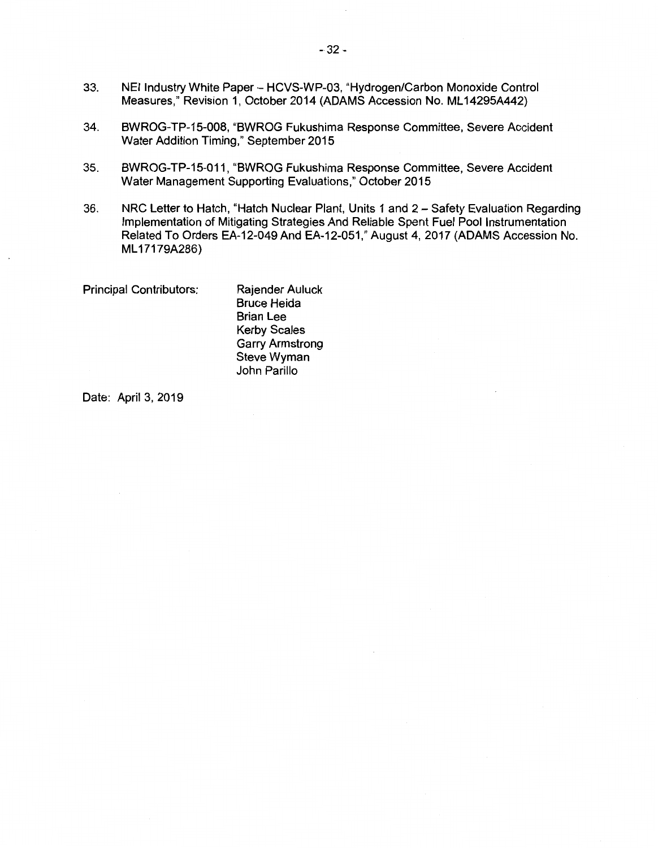- 33. NEI Industry White Paper HCVS-WP-03, "Hydrogen/Carbon Monoxide Control Measures," Revision 1, October 2014 (ADAMS Accession No. ML 14295A442)
- 34. BWROG-TP-15-008, "BWROG Fukushima Response Committee, Severe Accident Water Addition Timing," September 2015
- 35. BWROG-TP-15-011, "BWROG Fukushima Response Committee, Severe Accident Water Management Supporting Evaluations," October 2015
- 36. NRC Letter to Hatch, "Hatch Nuclear Plant, Units 1 and 2 Safety Evaluation Regarding Implementation of Mitigating Strategies And Reliable Spent Fuel Pool Instrumentation Related To Orders EA-12-049 And EA-12-051," August 4, 2017 (ADAMS Accession No. ML 17179A286)

Principal Contributors:

Rajender Auluck Bruce Heida Brian Lee Kerby Scales Garry Armstrong Steve Wyman John Parillo

Date: April 3, 2019